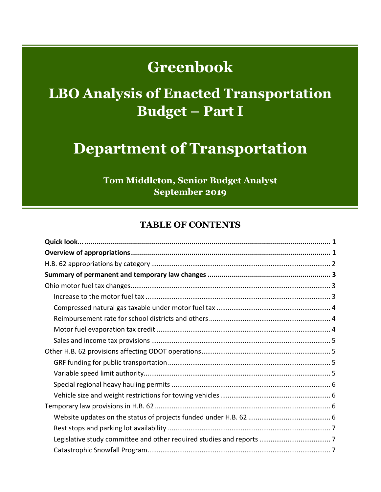# **Greenbook**

# **LBO Analysis of Enacted Transportation Budget – Part I**

## **Department of Transportation**

**Tom Middleton, Senior Budget Analyst September 2019** 

#### **TABLE OF CONTENTS**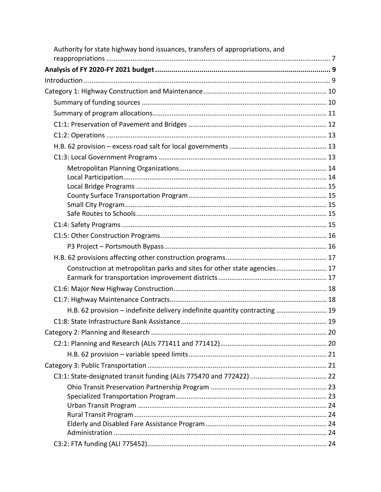| Authority for state highway bond issuances, transfers of appropriations, and |  |
|------------------------------------------------------------------------------|--|
|                                                                              |  |
|                                                                              |  |
|                                                                              |  |
|                                                                              |  |
|                                                                              |  |
|                                                                              |  |
|                                                                              |  |
|                                                                              |  |
|                                                                              |  |
|                                                                              |  |
|                                                                              |  |
|                                                                              |  |
|                                                                              |  |
|                                                                              |  |
|                                                                              |  |
|                                                                              |  |
|                                                                              |  |
|                                                                              |  |
| Construction at metropolitan parks and sites for other state agencies 17     |  |
|                                                                              |  |
|                                                                              |  |
|                                                                              |  |
| H.B. 62 provision - indefinite delivery indefinite quantity contracting  19  |  |
|                                                                              |  |
|                                                                              |  |
|                                                                              |  |
|                                                                              |  |
|                                                                              |  |
|                                                                              |  |
|                                                                              |  |
|                                                                              |  |
|                                                                              |  |
|                                                                              |  |
|                                                                              |  |
|                                                                              |  |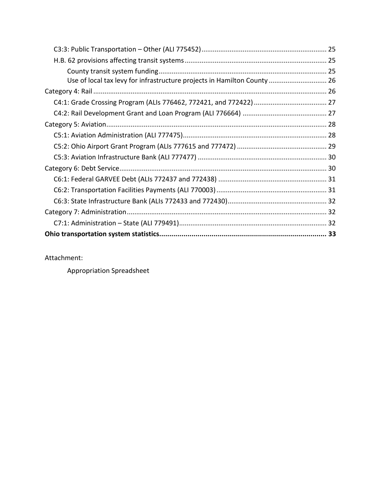| Use of local tax levy for infrastructure projects in Hamilton County 26 |  |
|-------------------------------------------------------------------------|--|
|                                                                         |  |
|                                                                         |  |
|                                                                         |  |
|                                                                         |  |
|                                                                         |  |
|                                                                         |  |
|                                                                         |  |
|                                                                         |  |
|                                                                         |  |
|                                                                         |  |
|                                                                         |  |
|                                                                         |  |
|                                                                         |  |
|                                                                         |  |

Attachment:

Appropriation Spreadsheet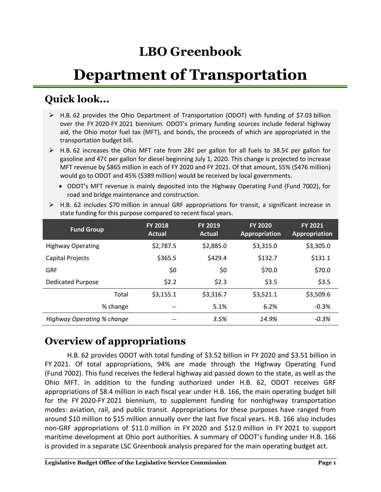## **LBO Greenbook**

# **Department of Transportation**

## <span id="page-3-0"></span>**Quick look...**

- $\triangleright$  H.B. 62 provides the Ohio Department of Transportation (ODOT) with funding of \$7.03 billion over the FY 2020-FY 2021 biennium. ODOT's primary funding sources include federal highway aid, the Ohio motor fuel tax (MFT), and bonds, the proceeds of which are appropriated in the transportation budget bill.
- $\triangleright$  H.B. 62 increases the Ohio MFT rate from 28¢ per gallon for all fuels to 38.5¢ per gallon for gasoline and 47¢ per gallon for diesel beginning July 1, 2020. This change is projected to increase MFT revenue by \$865 million in each of FY 2020 and FY 2021. Of that amount, 55% (\$476 million) would go to ODOT and 45% (\$389 million) would be received by local governments.
	- ODOT's MFT revenue is mainly deposited into the Highway Operating Fund (Fund 7002), for road and bridge maintenance and construction.

| <b>Fund Group</b>          | <b>FY 2018</b><br>Actual | <b>FY 2019</b><br>Actual | <b>FY 2020</b><br>Appropriation | <b>FY 2021</b><br>Appropriation |
|----------------------------|--------------------------|--------------------------|---------------------------------|---------------------------------|
| <b>Highway Operating</b>   | \$2,787.5                | \$2,885.0                | \$3,315.0                       | \$3,305.0                       |
| Capital Projects           | \$365.5                  | \$429.4                  | \$132.7                         | \$131.1                         |
| <b>GRF</b>                 | \$0                      | \$0                      | \$70.0                          | \$70.0                          |
| <b>Dedicated Purpose</b>   | \$2.2                    | \$2.3                    | \$3.5                           | \$3.5                           |
| Total                      | \$3,155.1                | \$3,316.7                | \$3,521.1                       | \$3,509.6                       |
| % change                   | --                       | 5.1%                     | 6.2%                            | $-0.3%$                         |
| Highway Operating % change |                          | 3.5%                     | 14.9%                           | $-0.3%$                         |

 $\triangleright$  H.B. 62 includes \$70 million in annual GRF appropriations for transit, a significant increase in state funding for this purpose compared to recent fiscal years.

## <span id="page-3-1"></span>**Overview of appropriations**

H.B. 62 provides ODOT with total funding of \$3.52 billion in FY 2020 and \$3.51 billion in FY 2021. Of total appropriations, 94% are made through the Highway Operating Fund (Fund 7002). This fund receives the federal highway aid passed down to the state, as well as the Ohio MFT. In addition to the funding authorized under H.B. 62, ODOT receives GRF appropriations of \$8.4 million in each fiscal year under H.B. 166, the main operating budget bill for the FY 2020-FY 2021 biennium, to supplement funding for nonhighway transportation modes: aviation, rail, and public transit. Appropriations for these purposes have ranged from around \$10 million to \$15 million annually over the last five fiscal years. H.B. 166 also includes non-GRF appropriations of \$11.0 million in FY 2020 and \$12.0 million in FY 2021 to support maritime development at Ohio port authorities. A summary of ODOT's funding under H.B. 166 is provided in a separate LSC Greenbook analysis prepared for the main operating budget act.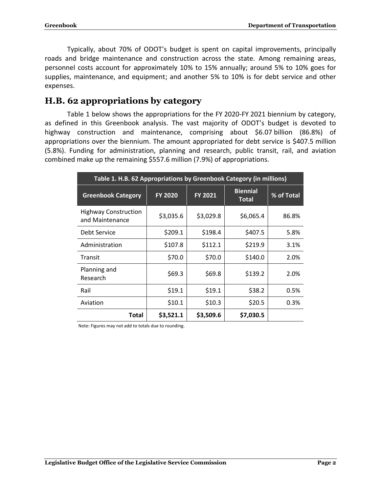Typically, about 70% of ODOT's budget is spent on capital improvements, principally roads and bridge maintenance and construction across the state. Among remaining areas, personnel costs account for approximately 10% to 15% annually; around 5% to 10% goes for supplies, maintenance, and equipment; and another 5% to 10% is for debt service and other expenses.

#### <span id="page-4-0"></span>**H.B. 62 appropriations by category**

Table 1 below shows the appropriations for the FY 2020-FY 2021 biennium by category, as defined in this Greenbook analysis. The vast majority of ODOT's budget is devoted to highway construction and maintenance, comprising about \$6.07 billion (86.8%) of appropriations over the biennium. The amount appropriated for debt service is \$407.5 million (5.8%). Funding for administration, planning and research, public transit, rail, and aviation combined make up the remaining \$557.6 million (7.9%) of appropriations.

| Table 1. H.B. 62 Appropriations by Greenbook Category (in millions) |                |                |                                 |            |  |  |
|---------------------------------------------------------------------|----------------|----------------|---------------------------------|------------|--|--|
| <b>Greenbook Category</b>                                           | <b>FY 2020</b> | <b>FY 2021</b> | <b>Biennial</b><br><b>Total</b> | % of Total |  |  |
| <b>Highway Construction</b><br>and Maintenance                      | \$3,035.6      | \$3,029.8      | \$6,065.4                       | 86.8%      |  |  |
| <b>Debt Service</b>                                                 | \$209.1        | \$198.4        | \$407.5                         | 5.8%       |  |  |
| Administration                                                      | \$107.8        | \$112.1        | \$219.9                         | 3.1%       |  |  |
| Transit                                                             | \$70.0         | \$70.0         | \$140.0                         | 2.0%       |  |  |
| Planning and<br>Research                                            | \$69.3         | \$69.8         | \$139.2                         | 2.0%       |  |  |
| Rail                                                                | \$19.1         | \$19.1         | \$38.2                          | 0.5%       |  |  |
| Aviation                                                            | \$10.1         | \$10.3         | \$20.5                          | 0.3%       |  |  |
| Total                                                               | \$3,521.1      | \$3,509.6      | \$7,030.5                       |            |  |  |

Note: Figures may not add to totals due to rounding.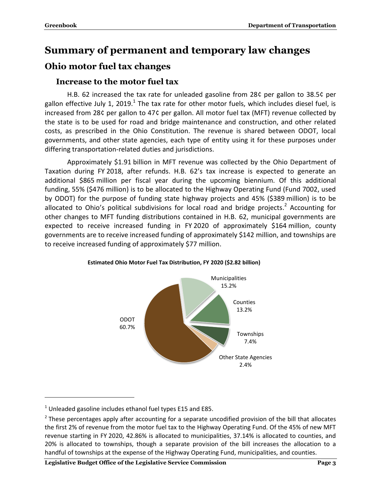## <span id="page-5-0"></span>**Summary of permanent and temporary law changes**

## <span id="page-5-2"></span><span id="page-5-1"></span>**Ohio motor fuel tax changes**

#### **Increase to the motor fuel tax**

H.B. 62 increased the tax rate for unleaded gasoline from 28¢ per gallon to 38.5¢ per gallon effective July 1, 2019.<sup>1</sup> The tax rate for other motor fuels, which includes diesel fuel, is increased from 28¢ per gallon to 47¢ per gallon. All motor fuel tax (MFT) revenue collected by the state is to be used for road and bridge maintenance and construction, and other related costs, as prescribed in the Ohio Constitution. The revenue is shared between ODOT, local governments, and other state agencies, each type of entity using it for these purposes under differing transportation-related duties and jurisdictions.

Approximately \$1.91 billion in MFT revenue was collected by the Ohio Department of Taxation during FY 2018, after refunds. H.B. 62's tax increase is expected to generate an additional \$865 million per fiscal year during the upcoming biennium. Of this additional funding, 55% (\$476 million) is to be allocated to the Highway Operating Fund (Fund 7002, used by ODOT) for the purpose of funding state highway projects and 45% (\$389 million) is to be allocated to Ohio's political subdivisions for local road and bridge projects.<sup>2</sup> Accounting for other changes to MFT funding distributions contained in H.B. 62, municipal governments are expected to receive increased funding in FY 2020 of approximately \$164 million, county governments are to receive increased funding of approximately \$142 million, and townships are to receive increased funding of approximately \$77 million.



#### **Estimated Ohio Motor Fuel Tax Distribution, FY 2020 (\$2.82 billion)**

 $\overline{a}$ 

 $1$  Unleaded gasoline includes ethanol fuel types E15 and E85.

 $2$  These percentages apply after accounting for a separate uncodified provision of the bill that allocates the first 2% of revenue from the motor fuel tax to the Highway Operating Fund. Of the 45% of new MFT revenue starting in FY 2020, 42.86% is allocated to municipalities, 37.14% is allocated to counties, and 20% is allocated to townships, though a separate provision of the bill increases the allocation to a handful of townships at the expense of the Highway Operating Fund, municipalities, and counties.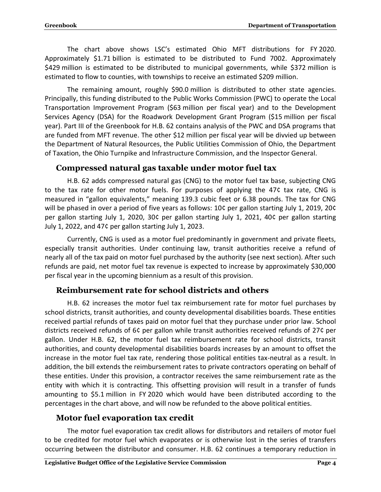The chart above shows LSC's estimated Ohio MFT distributions for FY 2020. Approximately \$1.71 billion is estimated to be distributed to Fund 7002. Approximately \$429 million is estimated to be distributed to municipal governments, while \$372 million is estimated to flow to counties, with townships to receive an estimated \$209 million.

The remaining amount, roughly \$90.0 million is distributed to other state agencies. Principally, this funding distributed to the Public Works Commission (PWC) to operate the Local Transportation Improvement Program (\$63 million per fiscal year) and to the Development Services Agency (DSA) for the Roadwork Development Grant Program (\$15 million per fiscal year). Part III of the Greenbook for H.B. 62 contains analysis of the PWC and DSA programs that are funded from MFT revenue. The other \$12 million per fiscal year will be divvied up between the Department of Natural Resources, the Public Utilities Commission of Ohio, the Department of Taxation, the Ohio Turnpike and Infrastructure Commission, and the Inspector General.

#### <span id="page-6-0"></span>**Compressed natural gas taxable under motor fuel tax**

H.B. 62 adds compressed natural gas (CNG) to the motor fuel tax base, subjecting CNG to the tax rate for other motor fuels. For purposes of applying the 47¢ tax rate, CNG is measured in "gallon equivalents," meaning 139.3 cubic feet or 6.38 pounds. The tax for CNG will be phased in over a period of five years as follows: 10¢ per gallon starting July 1, 2019, 20¢ per gallon starting July 1, 2020, 30¢ per gallon starting July 1, 2021, 40¢ per gallon starting July 1, 2022, and 47¢ per gallon starting July 1, 2023.

Currently, CNG is used as a motor fuel predominantly in government and private fleets, especially transit authorities. Under continuing law, transit authorities receive a refund of nearly all of the tax paid on motor fuel purchased by the authority (see next section). After such refunds are paid, net motor fuel tax revenue is expected to increase by approximately \$30,000 per fiscal year in the upcoming biennium as a result of this provision.

#### <span id="page-6-1"></span>**Reimbursement rate for school districts and others**

H.B. 62 increases the motor fuel tax reimbursement rate for motor fuel purchases by school districts, transit authorities, and county developmental disabilities boards. These entities received partial refunds of taxes paid on motor fuel that they purchase under prior law. School districts received refunds of 6¢ per gallon while transit authorities received refunds of 27¢ per gallon. Under H.B. 62, the motor fuel tax reimbursement rate for school districts, transit authorities, and county developmental disabilities boards increases by an amount to offset the increase in the motor fuel tax rate, rendering those political entities tax-neutral as a result. In addition, the bill extends the reimbursement rates to private contractors operating on behalf of these entities. Under this provision, a contractor receives the same reimbursement rate as the entity with which it is contracting. This offsetting provision will result in a transfer of funds amounting to \$5.1 million in FY 2020 which would have been distributed according to the percentages in the chart above, and will now be refunded to the above political entities.

#### <span id="page-6-2"></span>**Motor fuel evaporation tax credit**

The motor fuel evaporation tax credit allows for distributors and retailers of motor fuel to be credited for motor fuel which evaporates or is otherwise lost in the series of transfers occurring between the distributor and consumer. H.B. 62 continues a temporary reduction in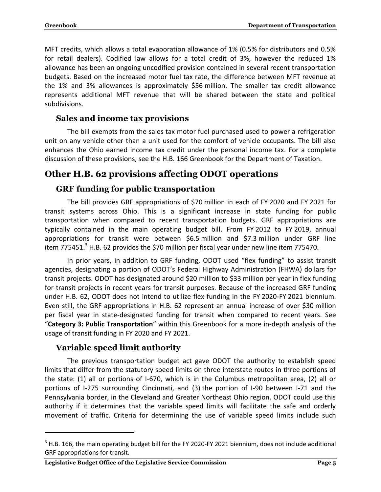MFT credits, which allows a total evaporation allowance of 1% (0.5% for distributors and 0.5% for retail dealers). Codified law allows for a total credit of 3%, however the reduced 1% allowance has been an ongoing uncodified provision contained in several recent transportation budgets. Based on the increased motor fuel tax rate, the difference between MFT revenue at the 1% and 3% allowances is approximately \$56 million. The smaller tax credit allowance represents additional MFT revenue that will be shared between the state and political subdivisions.

#### <span id="page-7-0"></span>**Sales and income tax provisions**

The bill exempts from the sales tax motor fuel purchased used to power a refrigeration unit on any vehicle other than a unit used for the comfort of vehicle occupants. The bill also enhances the Ohio earned income tax credit under the personal income tax. For a complete discussion of these provisions, see the H.B. 166 Greenbook for the Department of Taxation.

## <span id="page-7-2"></span><span id="page-7-1"></span>**Other H.B. 62 provisions affecting ODOT operations**

#### **GRF funding for public transportation**

The bill provides GRF appropriations of \$70 million in each of FY 2020 and FY 2021 for transit systems across Ohio. This is a significant increase in state funding for public transportation when compared to recent transportation budgets. GRF appropriations are typically contained in the main operating budget bill. From FY 2012 to FY 2019, annual appropriations for transit were between \$6.5 million and \$7.3 million under GRF line item 775451. $3$  H.B. 62 provides the \$70 million per fiscal year under new line item 775470.

In prior years, in addition to GRF funding, ODOT used "flex funding" to assist transit agencies, designating a portion of ODOT's Federal Highway Administration (FHWA) dollars for transit projects. ODOT has designated around \$20 million to \$33 million per year in flex funding for transit projects in recent years for transit purposes. Because of the increased GRF funding under H.B. 62, ODOT does not intend to utilize flex funding in the FY 2020-FY 2021 biennium. Even still, the GRF appropriations in H.B. 62 represent an annual increase of over \$30 million per fiscal year in state-designated funding for transit when compared to recent years. See "**Category 3: Public Transportation**" within this Greenbook for a more in-depth analysis of the usage of transit funding in FY 2020 and FY 2021.

#### <span id="page-7-3"></span>**Variable speed limit authority**

 $\overline{a}$ 

The previous transportation budget act gave ODOT the authority to establish speed limits that differ from the statutory speed limits on three interstate routes in three portions of the state: (1) all or portions of I-670, which is in the Columbus metropolitan area, (2) all or portions of I-275 surrounding Cincinnati, and (3) the portion of I-90 between I-71 and the Pennsylvania border, in the Cleveland and Greater Northeast Ohio region. ODOT could use this authority if it determines that the variable speed limits will facilitate the safe and orderly movement of traffic. Criteria for determining the use of variable speed limits include such

<sup>&</sup>lt;sup>3</sup> H.B. 166, the main operating budget bill for the FY 2020-FY 2021 biennium, does not include additional GRF appropriations for transit.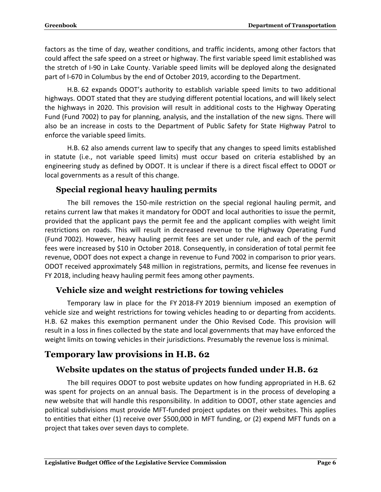factors as the time of day, weather conditions, and traffic incidents, among other factors that could affect the safe speed on a street or highway. The first variable speed limit established was the stretch of I-90 in Lake County. Variable speed limits will be deployed along the designated part of I-670 in Columbus by the end of October 2019, according to the Department.

H.B. 62 expands ODOT's authority to establish variable speed limits to two additional highways. ODOT stated that they are studying different potential locations, and will likely select the highways in 2020. This provision will result in additional costs to the Highway Operating Fund (Fund 7002) to pay for planning, analysis, and the installation of the new signs. There will also be an increase in costs to the Department of Public Safety for State Highway Patrol to enforce the variable speed limits.

H.B. 62 also amends current law to specify that any changes to speed limits established in statute (i.e., not variable speed limits) must occur based on criteria established by an engineering study as defined by ODOT. It is unclear if there is a direct fiscal effect to ODOT or local governments as a result of this change.

#### <span id="page-8-0"></span>**Special regional heavy hauling permits**

The bill removes the 150-mile restriction on the special regional hauling permit, and retains current law that makes it mandatory for ODOT and local authorities to issue the permit, provided that the applicant pays the permit fee and the applicant complies with weight limit restrictions on roads. This will result in decreased revenue to the Highway Operating Fund (Fund 7002). However, heavy hauling permit fees are set under rule, and each of the permit fees were increased by \$10 in October 2018. Consequently, in consideration of total permit fee revenue, ODOT does not expect a change in revenue to Fund 7002 in comparison to prior years. ODOT received approximately \$48 million in registrations, permits, and license fee revenues in FY 2018, including heavy hauling permit fees among other payments.

#### <span id="page-8-1"></span>**Vehicle size and weight restrictions for towing vehicles**

Temporary law in place for the FY 2018-FY 2019 biennium imposed an exemption of vehicle size and weight restrictions for towing vehicles heading to or departing from accidents. H.B. 62 makes this exemption permanent under the Ohio Revised Code. This provision will result in a loss in fines collected by the state and local governments that may have enforced the weight limits on towing vehicles in their jurisdictions. Presumably the revenue loss is minimal.

## <span id="page-8-3"></span><span id="page-8-2"></span>**Temporary law provisions in H.B. 62**

### **Website updates on the status of projects funded under H.B. 62**

The bill requires ODOT to post website updates on how funding appropriated in H.B. 62 was spent for projects on an annual basis. The Department is in the process of developing a new website that will handle this responsibility. In addition to ODOT, other state agencies and political subdivisions must provide MFT-funded project updates on their websites. This applies to entities that either (1) receive over \$500,000 in MFT funding, or (2) expend MFT funds on a project that takes over seven days to complete.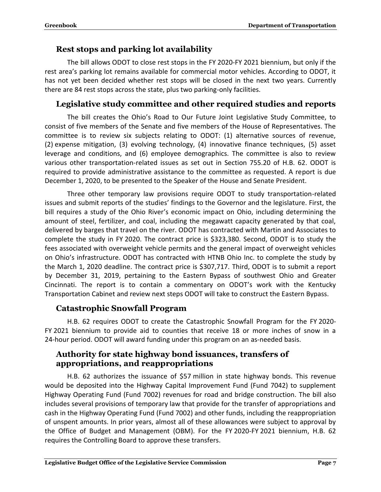#### <span id="page-9-0"></span>**Rest stops and parking lot availability**

The bill allows ODOT to close rest stops in the FY 2020-FY 2021 biennium, but only if the rest area's parking lot remains available for commercial motor vehicles. According to ODOT, it has not yet been decided whether rest stops will be closed in the next two years. Currently there are 84 rest stops across the state, plus two parking-only facilities.

#### <span id="page-9-1"></span>**Legislative study committee and other required studies and reports**

The bill creates the Ohio's Road to Our Future Joint Legislative Study Committee, to consist of five members of the Senate and five members of the House of Representatives. The committee is to review six subjects relating to ODOT: (1) alternative sources of revenue, (2) expense mitigation, (3) evolving technology, (4) innovative finance techniques, (5) asset leverage and conditions, and (6) employee demographics. The committee is also to review various other transportation-related issues as set out in Section 755.20 of H.B. 62. ODOT is required to provide administrative assistance to the committee as requested. A report is due December 1, 2020, to be presented to the Speaker of the House and Senate President.

Three other temporary law provisions require ODOT to study transportation-related issues and submit reports of the studies' findings to the Governor and the legislature. First, the bill requires a study of the Ohio River's economic impact on Ohio, including determining the amount of steel, fertilizer, and coal, including the megawatt capacity generated by that coal, delivered by barges that travel on the river. ODOT has contracted with Martin and Associates to complete the study in FY 2020. The contract price is \$323,380. Second, ODOT is to study the fees associated with overweight vehicle permits and the general impact of overweight vehicles on Ohio's infrastructure. ODOT has contracted with HTNB Ohio Inc. to complete the study by the March 1, 2020 deadline. The contract price is \$307,717. Third, ODOT is to submit a report by December 31, 2019, pertaining to the Eastern Bypass of southwest Ohio and Greater Cincinnati. The report is to contain a commentary on ODOT's work with the Kentucky Transportation Cabinet and review next steps ODOT will take to construct the Eastern Bypass.

#### <span id="page-9-2"></span>**Catastrophic Snowfall Program**

H.B. 62 requires ODOT to create the Catastrophic Snowfall Program for the FY 2020- FY 2021 biennium to provide aid to counties that receive 18 or more inches of snow in a 24-hour period. ODOT will award funding under this program on an as-needed basis.

#### <span id="page-9-3"></span>**Authority for state highway bond issuances, transfers of appropriations, and reappropriations**

H.B. 62 authorizes the issuance of \$57 million in state highway bonds. This revenue would be deposited into the Highway Capital Improvement Fund (Fund 7042) to supplement Highway Operating Fund (Fund 7002) revenues for road and bridge construction. The bill also includes several provisions of temporary law that provide for the transfer of appropriations and cash in the Highway Operating Fund (Fund 7002) and other funds, including the reappropriation of unspent amounts. In prior years, almost all of these allowances were subject to approval by the Office of Budget and Management (OBM). For the FY 2020-FY 2021 biennium, H.B. 62 requires the Controlling Board to approve these transfers.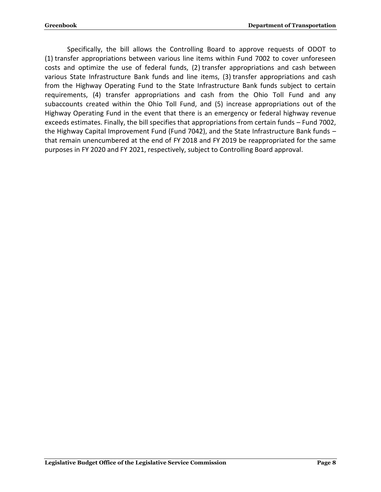Specifically, the bill allows the Controlling Board to approve requests of ODOT to (1) transfer appropriations between various line items within Fund 7002 to cover unforeseen costs and optimize the use of federal funds, (2) transfer appropriations and cash between various State Infrastructure Bank funds and line items, (3) transfer appropriations and cash from the Highway Operating Fund to the State Infrastructure Bank funds subject to certain requirements, (4) transfer appropriations and cash from the Ohio Toll Fund and any subaccounts created within the Ohio Toll Fund, and (5) increase appropriations out of the Highway Operating Fund in the event that there is an emergency or federal highway revenue exceeds estimates. Finally, the bill specifies that appropriations from certain funds – Fund 7002, the Highway Capital Improvement Fund (Fund 7042), and the State Infrastructure Bank funds – that remain unencumbered at the end of FY 2018 and FY 2019 be reappropriated for the same purposes in FY 2020 and FY 2021, respectively, subject to Controlling Board approval.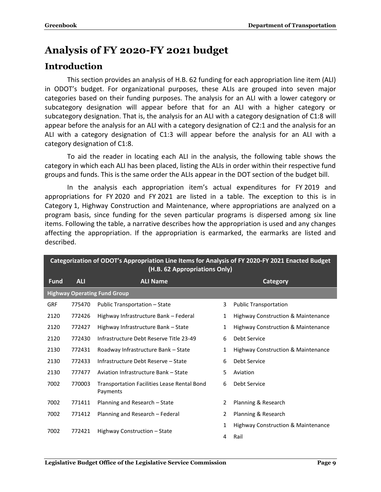## <span id="page-11-0"></span>**Analysis of FY 2020-FY 2021 budget**

## <span id="page-11-1"></span>**Introduction**

This section provides an analysis of H.B. 62 funding for each appropriation line item (ALI) in ODOT's budget. For organizational purposes, these ALIs are grouped into seven major categories based on their funding purposes. The analysis for an ALI with a lower category or subcategory designation will appear before that for an ALI with a higher category or subcategory designation. That is, the analysis for an ALI with a category designation of C1:8 will appear before the analysis for an ALI with a category designation of C2:1 and the analysis for an ALI with a category designation of C1:3 will appear before the analysis for an ALI with a category designation of C1:8.

To aid the reader in locating each ALI in the analysis, the following table shows the category in which each ALI has been placed, listing the ALIs in order within their respective fund groups and funds. This is the same order the ALIs appear in the DOT section of the budget bill.

In the analysis each appropriation item's actual expenditures for FY 2019 and appropriations for FY 2020 and FY 2021 are listed in a table. The exception to this is in Category 1, Highway Construction and Maintenance, where appropriations are analyzed on a program basis, since funding for the seven particular programs is dispersed among six line items. Following the table, a narrative describes how the appropriation is used and any changes affecting the appropriation. If the appropriation is earmarked, the earmarks are listed and described.

|             | Categorization of ODOT's Appropriation Line Items for Analysis of FY 2020-FY 2021 Enacted Budget<br>(H.B. 62 Appropriations Only) |                                                                |    |                                               |  |  |
|-------------|-----------------------------------------------------------------------------------------------------------------------------------|----------------------------------------------------------------|----|-----------------------------------------------|--|--|
| <b>Fund</b> | <b>ALI</b><br><b>ALI Name</b><br><b>Category</b>                                                                                  |                                                                |    |                                               |  |  |
|             |                                                                                                                                   | <b>Highway Operating Fund Group</b>                            |    |                                               |  |  |
| <b>GRF</b>  | 775470                                                                                                                            | Public Transportation – State                                  | 3  | <b>Public Transportation</b>                  |  |  |
| 2120        | 772426                                                                                                                            | Highway Infrastructure Bank - Federal                          | 1  | Highway Construction & Maintenance            |  |  |
| 2120        | 772427                                                                                                                            | Highway Infrastructure Bank - State                            | 1  | Highway Construction & Maintenance            |  |  |
| 2120        | 772430                                                                                                                            | Infrastructure Debt Reserve Title 23-49                        | 6  | Debt Service                                  |  |  |
| 2130        | 772431                                                                                                                            | Roadway Infrastructure Bank - State                            | 1  | <b>Highway Construction &amp; Maintenance</b> |  |  |
| 2130        | 772433                                                                                                                            | Infrastructure Debt Reserve - State                            | 6  | Debt Service                                  |  |  |
| 2130        | 777477                                                                                                                            | Aviation Infrastructure Bank - State                           | 5. | Aviation                                      |  |  |
| 7002        | 770003                                                                                                                            | <b>Transportation Facilities Lease Rental Bond</b><br>Payments | 6  | Debt Service                                  |  |  |
| 7002        | 771411                                                                                                                            | Planning and Research – State                                  | 2  | Planning & Research                           |  |  |
| 7002        | 771412                                                                                                                            | Planning and Research - Federal                                | 2  | Planning & Research                           |  |  |
| 7002        | 772421                                                                                                                            | Highway Construction - State                                   | 1  | Highway Construction & Maintenance            |  |  |
|             |                                                                                                                                   |                                                                | 4  | Rail                                          |  |  |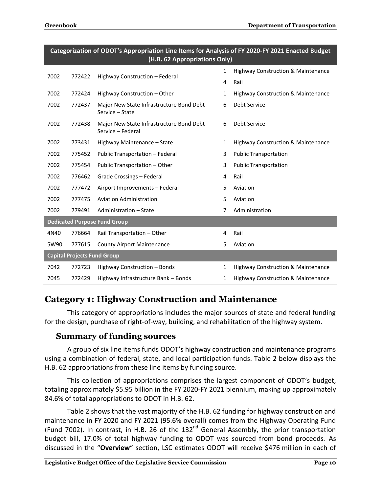|      | Categorization of ODOT's Appropriation line items for Analysis of FY 2020-FY 2021 Enacted Budget<br>(H.B. 62 Appropriations Only) |                                                               |              |                                               |  |  |
|------|-----------------------------------------------------------------------------------------------------------------------------------|---------------------------------------------------------------|--------------|-----------------------------------------------|--|--|
| 7002 | 772422                                                                                                                            | $\mathbf{1}$<br>Highway Construction - Federal<br>4           |              | <b>Highway Construction &amp; Maintenance</b> |  |  |
|      |                                                                                                                                   |                                                               |              | Rail                                          |  |  |
| 7002 | 772424                                                                                                                            | Highway Construction - Other                                  | $\mathbf{1}$ | <b>Highway Construction &amp; Maintenance</b> |  |  |
| 7002 | 772437                                                                                                                            | Major New State Infrastructure Bond Debt<br>Service - State   | 6            | <b>Debt Service</b>                           |  |  |
| 7002 | 772438                                                                                                                            | Major New State Infrastructure Bond Debt<br>Service - Federal | 6            | Debt Service                                  |  |  |
| 7002 | 773431                                                                                                                            | Highway Maintenance - State                                   | $\mathbf{1}$ | <b>Highway Construction &amp; Maintenance</b> |  |  |
| 7002 | 775452                                                                                                                            | Public Transportation - Federal                               | 3            | <b>Public Transportation</b>                  |  |  |
| 7002 | 775454                                                                                                                            | Public Transportation - Other                                 | 3            | <b>Public Transportation</b>                  |  |  |
| 7002 | 776462                                                                                                                            | <b>Grade Crossings - Federal</b>                              | 4            | Rail                                          |  |  |
| 7002 | 777472                                                                                                                            | Airport Improvements - Federal                                | 5            | Aviation                                      |  |  |
| 7002 | 777475                                                                                                                            | <b>Aviation Administration</b>                                | 5            | Aviation                                      |  |  |
| 7002 | 779491                                                                                                                            | Administration - State                                        | 7            | Administration                                |  |  |
|      |                                                                                                                                   | <b>Dedicated Purpose Fund Group</b>                           |              |                                               |  |  |
| 4N40 | 776664                                                                                                                            | Rail Transportation - Other                                   | 4            | Rail                                          |  |  |
| 5W90 | 777615                                                                                                                            | <b>County Airport Maintenance</b>                             | 5            | Aviation                                      |  |  |
|      | <b>Capital Projects Fund Group</b>                                                                                                |                                                               |              |                                               |  |  |
| 7042 | 772723                                                                                                                            | Highway Construction - Bonds                                  | $\mathbf{1}$ | Highway Construction & Maintenance            |  |  |
| 7045 | 772429                                                                                                                            | Highway Infrastructure Bank - Bonds                           | $\mathbf{1}$ | <b>Highway Construction &amp; Maintenance</b> |  |  |

# **Categorization of ODOT's Appropriation Line Items for Analysis of FY 2020-FY 2021 Enacted Budget**

### <span id="page-12-0"></span>**Category 1: Highway Construction and Maintenance**

This category of appropriations includes the major sources of state and federal funding for the design, purchase of right-of-way, building, and rehabilitation of the highway system.

#### <span id="page-12-1"></span>**Summary of funding sources**

A group of six line items funds ODOT's highway construction and maintenance programs using a combination of federal, state, and local participation funds. Table 2 below displays the H.B. 62 appropriations from these line items by funding source.

This collection of appropriations comprises the largest component of ODOT's budget, totaling approximately \$5.95 billion in the FY 2020-FY 2021 biennium, making up approximately 84.6% of total appropriations to ODOT in H.B. 62.

Table 2 shows that the vast majority of the H.B. 62 funding for highway construction and maintenance in FY 2020 and FY 2021 (95.6% overall) comes from the Highway Operating Fund (Fund 7002). In contrast, in H.B. 26 of the  $132<sup>nd</sup>$  General Assembly, the prior transportation budget bill, 17.0% of total highway funding to ODOT was sourced from bond proceeds. As discussed in the "**Overview**" section, LSC estimates ODOT will receive \$476 million in each of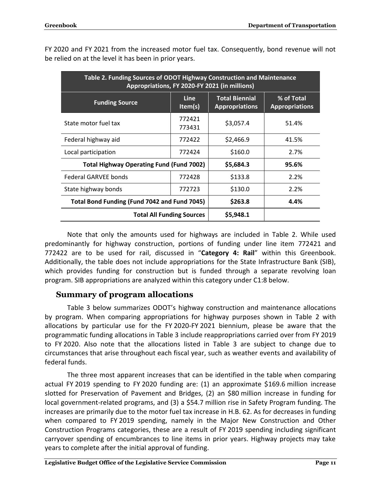| Table 2. Funding Sources of ODOT Highway Construction and Maintenance<br>Appropriations, FY 2020-FY 2021 (in millions) |                  |                                                |                                     |  |  |
|------------------------------------------------------------------------------------------------------------------------|------------------|------------------------------------------------|-------------------------------------|--|--|
| <b>Line</b><br><b>Funding Source</b><br>Item(s)                                                                        |                  | <b>Total Biennial</b><br><b>Appropriations</b> | % of Total<br><b>Appropriations</b> |  |  |
| State motor fuel tax                                                                                                   | 772421<br>773431 | \$3,057.4                                      | 51.4%                               |  |  |
| Federal highway aid                                                                                                    | 772422           | \$2,466.9                                      | 41.5%                               |  |  |
| Local participation<br>772424                                                                                          |                  | \$160.0                                        | 2.7%                                |  |  |
| <b>Total Highway Operating Fund (Fund 7002)</b>                                                                        | \$5,684.3        | 95.6%                                          |                                     |  |  |
| <b>Federal GARVEE bonds</b>                                                                                            | 772428           | \$133.8                                        | 2.2%                                |  |  |
| State highway bonds                                                                                                    | 772723           | \$130.0                                        | 2.2%                                |  |  |
| Total Bond Funding (Fund 7042 and Fund 7045)                                                                           | \$263.8          | 4.4%                                           |                                     |  |  |
| <b>Total All Funding Sources</b>                                                                                       |                  | \$5,948.1                                      |                                     |  |  |

FY 2020 and FY 2021 from the increased motor fuel tax. Consequently, bond revenue will not be relied on at the level it has been in prior years.

Note that only the amounts used for highways are included in Table 2. While used predominantly for highway construction, portions of funding under line item 772421 and 772422 are to be used for rail, discussed in "**Category 4: Rail**" within this Greenbook. Additionally, the table does not include appropriations for the State Infrastructure Bank (SIB), which provides funding for construction but is funded through a separate revolving loan program. SIB appropriations are analyzed within this category under C1:8 below.

#### <span id="page-13-0"></span>**Summary of program allocations**

Table 3 below summarizes ODOT's highway construction and maintenance allocations by program. When comparing appropriations for highway purposes shown in Table 2 with allocations by particular use for the FY 2020-FY 2021 biennium, please be aware that the programmatic funding allocations in Table 3 include reappropriations carried over from FY 2019 to FY 2020. Also note that the allocations listed in Table 3 are subject to change due to circumstances that arise throughout each fiscal year, such as weather events and availability of federal funds.

The three most apparent increases that can be identified in the table when comparing actual FY 2019 spending to FY 2020 funding are: (1) an approximate \$169.6 million increase slotted for Preservation of Pavement and Bridges, (2) an \$80 million increase in funding for local government-related programs, and (3) a \$54.7 million rise in Safety Program funding. The increases are primarily due to the motor fuel tax increase in H.B. 62. As for decreases in funding when compared to FY 2019 spending, namely in the Major New Construction and Other Construction Programs categories, these are a result of FY 2019 spending including significant carryover spending of encumbrances to line items in prior years. Highway projects may take years to complete after the initial approval of funding.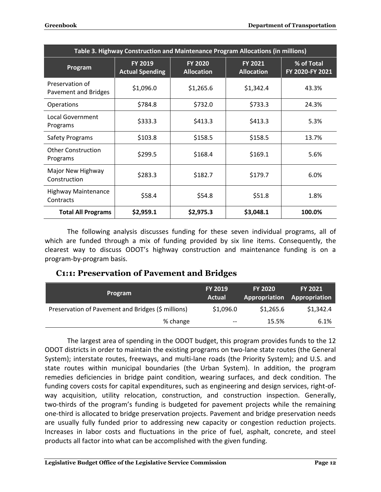| Table 3. Highway Construction and Maintenance Program Allocations (in millions) |                                          |                                     |                                     |                               |  |
|---------------------------------------------------------------------------------|------------------------------------------|-------------------------------------|-------------------------------------|-------------------------------|--|
| Program                                                                         | <b>FY 2019</b><br><b>Actual Spending</b> | <b>FY 2020</b><br><b>Allocation</b> | <b>FY 2021</b><br><b>Allocation</b> | % of Total<br>FY 2020-FY 2021 |  |
| Preservation of<br>Pavement and Bridges                                         | \$1,096.0                                | \$1,265.6                           | \$1,342.4                           | 43.3%                         |  |
| Operations                                                                      | \$784.8                                  | \$732.0                             | \$733.3                             | 24.3%                         |  |
| Local Government<br>Programs                                                    | \$333.3                                  | \$413.3                             | \$413.3                             | 5.3%                          |  |
| <b>Safety Programs</b>                                                          | \$103.8                                  | \$158.5                             | \$158.5                             | 13.7%                         |  |
| <b>Other Construction</b><br>Programs                                           | \$299.5                                  | \$168.4                             | \$169.1                             | 5.6%                          |  |
| Major New Highway<br>Construction                                               | \$283.3                                  | \$182.7                             | \$179.7                             | 6.0%                          |  |
| <b>Highway Maintenance</b><br>Contracts                                         | \$58.4                                   | \$54.8                              | \$51.8                              | 1.8%                          |  |
| <b>Total All Programs</b>                                                       | \$2,959.1                                | \$2,975.3                           | \$3,048.1                           | 100.0%                        |  |

The following analysis discusses funding for these seven individual programs, all of which are funded through a mix of funding provided by six line items. Consequently, the clearest way to discuss ODOT's highway construction and maintenance funding is on a program-by-program basis.

#### <span id="page-14-0"></span>**C1:1: Preservation of Pavement and Bridges**

| Program                                            | <b>FY 2019</b><br>Actual | <b>FY 2020</b> | <b>FY 2021</b><br><b>Appropriation Appropriation</b> |
|----------------------------------------------------|--------------------------|----------------|------------------------------------------------------|
| Preservation of Pavement and Bridges (\$ millions) | \$1,096.0                | \$1,265.6      | \$1,342.4                                            |
| % change                                           | $\qquad \qquad -$        | 15.5%          | 6.1%                                                 |

The largest area of spending in the ODOT budget, this program provides funds to the 12 ODOT districts in order to maintain the existing programs on two-lane state routes (the General System); interstate routes, freeways, and multi-lane roads (the Priority System); and U.S. and state routes within municipal boundaries (the Urban System). In addition, the program remedies deficiencies in bridge paint condition, wearing surfaces, and deck condition. The funding covers costs for capital expenditures, such as engineering and design services, right-ofway acquisition, utility relocation, construction, and construction inspection. Generally, two-thirds of the program's funding is budgeted for pavement projects while the remaining one-third is allocated to bridge preservation projects. Pavement and bridge preservation needs are usually fully funded prior to addressing new capacity or congestion reduction projects. Increases in labor costs and fluctuations in the price of fuel, asphalt, concrete, and steel products all factor into what can be accomplished with the given funding.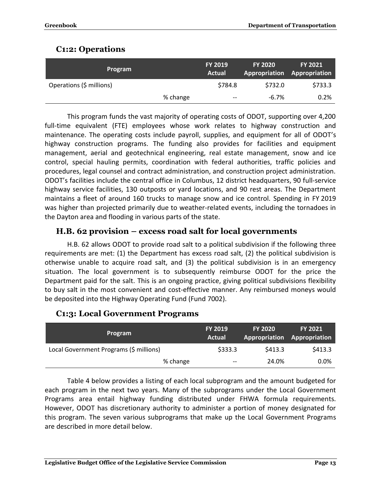### <span id="page-15-0"></span>**C1:2: Operations**

| <b>Program</b>           |          | <b>FY 2019</b><br>Actual | <b>FY 2020</b><br>Appropriation | <b>FY 2021</b><br>Appropriation |
|--------------------------|----------|--------------------------|---------------------------------|---------------------------------|
| Operations (\$ millions) |          | \$784.8                  | \$732.0                         | \$733.3                         |
|                          | % change | $- -$                    | $-6.7%$                         | 0.2%                            |

This program funds the vast majority of operating costs of ODOT, supporting over 4,200 full-time equivalent (FTE) employees whose work relates to highway construction and maintenance. The operating costs include payroll, supplies, and equipment for all of ODOT's highway construction programs. The funding also provides for facilities and equipment management, aerial and geotechnical engineering, real estate management, snow and ice control, special hauling permits, coordination with federal authorities, traffic policies and procedures, legal counsel and contract administration, and construction project administration. ODOT's facilities include the central office in Columbus, 12 district headquarters, 90 full-service highway service facilities, 130 outposts or yard locations, and 90 rest areas. The Department maintains a fleet of around 160 trucks to manage snow and ice control. Spending in FY 2019 was higher than projected primarily due to weather-related events, including the tornadoes in the Dayton area and flooding in various parts of the state.

#### <span id="page-15-1"></span>**H.B. 62 provision – excess road salt for local governments**

H.B. 62 allows ODOT to provide road salt to a political subdivision if the following three requirements are met: (1) the Department has excess road salt, (2) the political subdivision is otherwise unable to acquire road salt, and (3) the political subdivision is in an emergency situation. The local government is to subsequently reimburse ODOT for the price the Department paid for the salt. This is an ongoing practice, giving political subdivisions flexibility to buy salt in the most convenient and cost-effective manner. Any reimbursed moneys would be deposited into the Highway Operating Fund (Fund 7002).

| Program                                 | <b>FY 2019</b><br>Actual | <b>FY 2020</b><br>Appropriation | <b>FY 2021</b><br>Appropriation |
|-----------------------------------------|--------------------------|---------------------------------|---------------------------------|
| Local Government Programs (\$ millions) | \$333.3                  | \$413.3                         | \$413.3                         |
| % change                                | $- -$                    | 24.0%                           | $0.0\%$                         |

#### <span id="page-15-2"></span>**C1:3: Local Government Programs**

Table 4 below provides a listing of each local subprogram and the amount budgeted for each program in the next two years. Many of the subprograms under the Local Government Programs area entail highway funding distributed under FHWA formula requirements. However, ODOT has discretionary authority to administer a portion of money designated for this program. The seven various subprograms that make up the Local Government Programs are described in more detail below.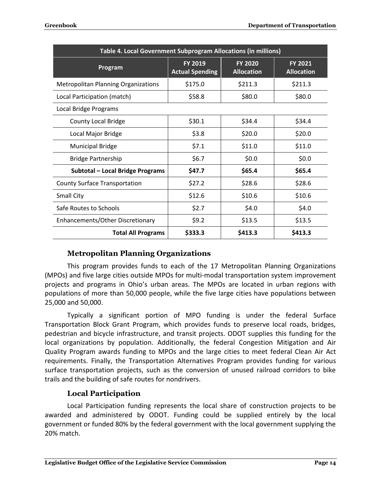| Table 4. Local Government Subprogram Allocations (in millions) |                                          |                                     |                                     |  |  |  |
|----------------------------------------------------------------|------------------------------------------|-------------------------------------|-------------------------------------|--|--|--|
| Program                                                        | <b>FY 2019</b><br><b>Actual Spending</b> | <b>FY 2020</b><br><b>Allocation</b> | <b>FY 2021</b><br><b>Allocation</b> |  |  |  |
| <b>Metropolitan Planning Organizations</b>                     | \$175.0                                  | \$211.3                             | \$211.3                             |  |  |  |
| Local Participation (match)                                    | \$58.8                                   | \$80.0                              | \$80.0                              |  |  |  |
| Local Bridge Programs                                          |                                          |                                     |                                     |  |  |  |
| <b>County Local Bridge</b>                                     | \$30.1                                   | \$34.4                              | \$34.4                              |  |  |  |
| Local Major Bridge                                             | \$3.8                                    | \$20.0                              | \$20.0                              |  |  |  |
| <b>Municipal Bridge</b>                                        | \$7.1                                    | \$11.0                              | \$11.0                              |  |  |  |
| <b>Bridge Partnership</b>                                      | \$6.7                                    | \$0.0\$                             | \$0.0\$                             |  |  |  |
| <b>Subtotal - Local Bridge Programs</b>                        | \$47.7                                   | \$65.4                              | \$65.4                              |  |  |  |
| <b>County Surface Transportation</b>                           | \$27.2                                   | \$28.6                              | \$28.6                              |  |  |  |
| <b>Small City</b>                                              | \$12.6                                   | \$10.6                              | \$10.6                              |  |  |  |
| Safe Routes to Schools                                         | \$2.7                                    | \$4.0                               | \$4.0                               |  |  |  |
| Enhancements/Other Discretionary                               | \$9.2                                    | \$13.5                              | \$13.5                              |  |  |  |
| <b>Total All Programs</b>                                      | \$333.3                                  | \$413.3                             | \$413.3                             |  |  |  |

#### **Metropolitan Planning Organizations**

<span id="page-16-0"></span>This program provides funds to each of the 17 Metropolitan Planning Organizations (MPOs) and five large cities outside MPOs for multi-modal transportation system improvement projects and programs in Ohio's urban areas. The MPOs are located in urban regions with populations of more than 50,000 people, while the five large cities have populations between 25,000 and 50,000.

Typically a significant portion of MPO funding is under the federal Surface Transportation Block Grant Program, which provides funds to preserve local roads, bridges, pedestrian and bicycle infrastructure, and transit projects. ODOT supplies this funding for the local organizations by population. Additionally, the federal Congestion Mitigation and Air Quality Program awards funding to MPOs and the large cities to meet federal Clean Air Act requirements. Finally, the Transportation Alternatives Program provides funding for various surface transportation projects, such as the conversion of unused railroad corridors to bike trails and the building of safe routes for nondrivers.

#### **Local Participation**

<span id="page-16-1"></span>Local Participation funding represents the local share of construction projects to be awarded and administered by ODOT. Funding could be supplied entirely by the local government or funded 80% by the federal government with the local government supplying the 20% match.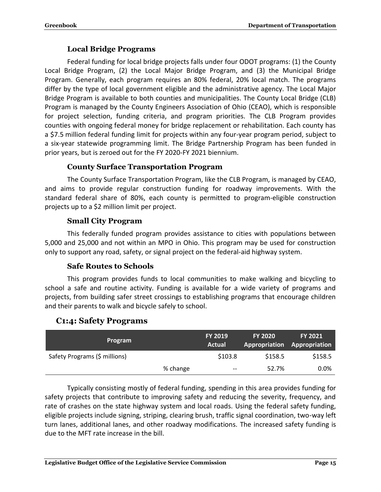#### **Local Bridge Programs**

<span id="page-17-0"></span>Federal funding for local bridge projects falls under four ODOT programs: (1) the County Local Bridge Program, (2) the Local Major Bridge Program, and (3) the Municipal Bridge Program. Generally, each program requires an 80% federal, 20% local match. The programs differ by the type of local government eligible and the administrative agency. The Local Major Bridge Program is available to both counties and municipalities. The County Local Bridge (CLB) Program is managed by the County Engineers Association of Ohio (CEAO), which is responsible for project selection, funding criteria, and program priorities. The CLB Program provides counties with ongoing federal money for bridge replacement or rehabilitation. Each county has a \$7.5 million federal funding limit for projects within any four-year program period, subject to a six-year statewide programming limit. The Bridge Partnership Program has been funded in prior years, but is zeroed out for the FY 2020-FY 2021 biennium.

#### **County Surface Transportation Program**

<span id="page-17-1"></span>The County Surface Transportation Program, like the CLB Program, is managed by CEAO, and aims to provide regular construction funding for roadway improvements. With the standard federal share of 80%, each county is permitted to program-eligible construction projects up to a \$2 million limit per project.

#### **Small City Program**

<span id="page-17-2"></span>This federally funded program provides assistance to cities with populations between 5,000 and 25,000 and not within an MPO in Ohio. This program may be used for construction only to support any road, safety, or signal project on the federal-aid highway system.

#### **Safe Routes to Schools**

<span id="page-17-3"></span>This program provides funds to local communities to make walking and bicycling to school a safe and routine activity. Funding is available for a wide variety of programs and projects, from building safer street crossings to establishing programs that encourage children and their parents to walk and bicycle safely to school.

#### <span id="page-17-4"></span>**C1:4: Safety Programs**

| <b>Program</b>                |          | <b>FY 2019</b><br><b>Actual</b> | <b>FY 2020</b> | <b>FY 2021</b><br>Appropriation Appropriation |
|-------------------------------|----------|---------------------------------|----------------|-----------------------------------------------|
| Safety Programs (\$ millions) |          | \$103.8                         | \$158.5        | \$158.5                                       |
|                               | % change | $- -$                           | 52.7%          | 0.0%                                          |

Typically consisting mostly of federal funding, spending in this area provides funding for safety projects that contribute to improving safety and reducing the severity, frequency, and rate of crashes on the state highway system and local roads. Using the federal safety funding, eligible projects include signing, striping, clearing brush, traffic signal coordination, two-way left turn lanes, additional lanes, and other roadway modifications. The increased safety funding is due to the MFT rate increase in the bill.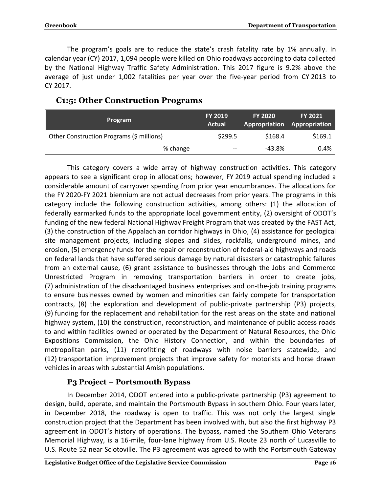The program's goals are to reduce the state's crash fatality rate by 1% annually. In calendar year (CY) 2017, 1,094 people were killed on Ohio roadways according to data collected by the National Highway Traffic Safety Administration. This 2017 figure is 9.2% above the average of just under 1,002 fatalities per year over the five-year period from CY 2013 to CY 2017.

| <b>Program</b>                            | <b>FY 2019</b><br>Actual | <b>FY 2020</b> | <b>FY 2021</b><br><b>Appropriation Appropriation</b> |
|-------------------------------------------|--------------------------|----------------|------------------------------------------------------|
| Other Construction Programs (\$ millions) | \$299.5                  | \$168.4        | \$169.1                                              |
| % change                                  | $- -$                    | -43.8%         | 0.4%                                                 |

#### <span id="page-18-0"></span>**C1:5: Other Construction Programs**

This category covers a wide array of highway construction activities. This category appears to see a significant drop in allocations; however, FY 2019 actual spending included a considerable amount of carryover spending from prior year encumbrances. The allocations for the FY 2020-FY 2021 biennium are not actual decreases from prior years. The programs in this category include the following construction activities, among others: (1) the allocation of federally earmarked funds to the appropriate local government entity, (2) oversight of ODOT's funding of the new federal National Highway Freight Program that was created by the FAST Act, (3) the construction of the Appalachian corridor highways in Ohio, (4) assistance for geological site management projects, including slopes and slides, rockfalls, underground mines, and erosion, (5) emergency funds for the repair or reconstruction of federal-aid highways and roads on federal lands that have suffered serious damage by natural disasters or catastrophic failures from an external cause, (6) grant assistance to businesses through the Jobs and Commerce Unrestricted Program in removing transportation barriers in order to create jobs, (7) administration of the disadvantaged business enterprises and on-the-job training programs to ensure businesses owned by women and minorities can fairly compete for transportation contracts, (8) the exploration and development of public-private partnership (P3) projects, (9) funding for the replacement and rehabilitation for the rest areas on the state and national highway system, (10) the construction, reconstruction, and maintenance of public access roads to and within facilities owned or operated by the Department of Natural Resources, the Ohio Expositions Commission, the Ohio History Connection, and within the boundaries of metropolitan parks, (11) retrofitting of roadways with noise barriers statewide, and (12) transportation improvement projects that improve safety for motorists and horse drawn vehicles in areas with substantial Amish populations.

#### **P3 Project – Portsmouth Bypass**

<span id="page-18-1"></span>In December 2014, ODOT entered into a public-private partnership (P3) agreement to design, build, operate, and maintain the Portsmouth Bypass in southern Ohio. Four years later, in December 2018, the roadway is open to traffic. This was not only the largest single construction project that the Department has been involved with, but also the first highway P3 agreement in ODOT's history of operations. The bypass, named the Southern Ohio Veterans Memorial Highway, is a 16-mile, four-lane highway from U.S. Route 23 north of Lucasville to U.S. Route 52 near Sciotoville. The P3 agreement was agreed to with the Portsmouth Gateway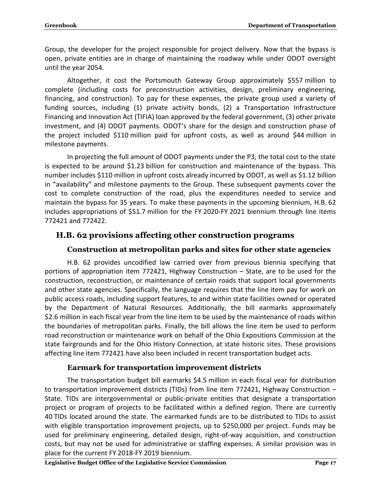Group, the developer for the project responsible for project delivery. Now that the bypass is open, private entities are in charge of maintaining the roadway while under ODOT oversight until the year 2054.

Altogether, it cost the Portsmouth Gateway Group approximately \$557 million to complete (including costs for preconstruction activities, design, preliminary engineering, financing, and construction). To pay for these expenses, the private group used a variety of funding sources, including (1) private activity bonds, (2) a Transportation Infrastructure Financing and Innovation Act (TIFIA) loan approved by the federal government, (3) other private investment, and (4) ODOT payments. ODOT's share for the design and construction phase of the project included \$110 million paid for upfront costs, as well as around \$44 million in milestone payments.

In projecting the full amount of ODOT payments under the P3, the total cost to the state is expected to be around \$1.23 billion for construction and maintenance of the bypass. This number includes \$110 million in upfront costs already incurred by ODOT, as well as \$1.12 billion in "availability" and milestone payments to the Group. These subsequent payments cover the cost to complete construction of the road, plus the expenditures needed to service and maintain the bypass for 35 years. To make these payments in the upcoming biennium, H.B. 62 includes appropriations of \$51.7 million for the FY 2020-FY 2021 biennium through line items 772421 and 772422.

#### <span id="page-19-1"></span><span id="page-19-0"></span>**H.B. 62 provisions affecting other construction programs**

#### **Construction at metropolitan parks and sites for other state agencies**

H.B. 62 provides uncodified law carried over from previous biennia specifying that portions of appropriation item 772421, Highway Construction – State, are to be used for the construction, reconstruction, or maintenance of certain roads that support local governments and other state agencies. Specifically, the language requires that the line item pay for work on public access roads, including support features, to and within state facilities owned or operated by the Department of Natural Resources. Additionally, the bill earmarks approximately \$2.6 million in each fiscal year from the line item to be used by the maintenance of roads within the boundaries of metropolitan parks. Finally, the bill allows the line item be used to perform road reconstruction or maintenance work on behalf of the Ohio Expositions Commission at the state fairgrounds and for the Ohio History Connection, at state historic sites. These provisions affecting line item 772421 have also been included in recent transportation budget acts.

#### **Earmark for transportation improvement districts**

<span id="page-19-2"></span>The transportation budget bill earmarks \$4.5 million in each fiscal year for distribution to transportation improvement districts (TIDs) from line item 772421, Highway Construction – State. TIDs are intergovernmental or public-private entities that designate a transportation project or program of projects to be facilitated within a defined region. There are currently 40 TIDs located around the state. The earmarked funds are to be distributed to TIDs to assist with eligible transportation improvement projects, up to \$250,000 per project. Funds may be used for preliminary engineering, detailed design, right-of-way acquisition, and construction costs, but may not be used for administrative or staffing expenses. A similar provision was in place for the current FY 2018-FY 2019 biennium.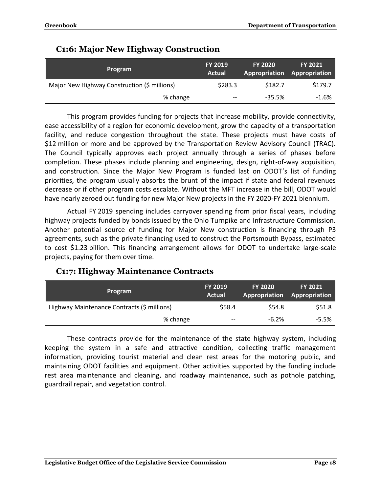| <b>Program</b>                               | <b>FY 2019</b><br>Actual | <b>FY 2020</b><br><b>Appropriation</b> | <b>FY 2021</b><br>Appropriation |
|----------------------------------------------|--------------------------|----------------------------------------|---------------------------------|
| Major New Highway Construction (\$ millions) | \$283.3                  | \$182.7                                | \$179.7                         |
| % change                                     | $- -$                    | $-35.5%$                               | $-1.6%$                         |

#### <span id="page-20-0"></span>**C1:6: Major New Highway Construction**

This program provides funding for projects that increase mobility, provide connectivity, ease accessibility of a region for economic development, grow the capacity of a transportation facility, and reduce congestion throughout the state. These projects must have costs of \$12 million or more and be approved by the Transportation Review Advisory Council (TRAC). The Council typically approves each project annually through a series of phases before completion. These phases include planning and engineering, design, right-of-way acquisition, and construction. Since the Major New Program is funded last on ODOT's list of funding priorities, the program usually absorbs the brunt of the impact if state and federal revenues decrease or if other program costs escalate. Without the MFT increase in the bill, ODOT would have nearly zeroed out funding for new Major New projects in the FY 2020-FY 2021 biennium.

Actual FY 2019 spending includes carryover spending from prior fiscal years, including highway projects funded by bonds issued by the Ohio Turnpike and Infrastructure Commission. Another potential source of funding for Major New construction is financing through P3 agreements, such as the private financing used to construct the Portsmouth Bypass, estimated to cost \$1.23 billion. This financing arrangement allows for ODOT to undertake large-scale projects, paying for them over time.

#### <span id="page-20-1"></span>**C1:7: Highway Maintenance Contracts**

| Program                                     | <b>FY 2019</b><br>Actual | <b>FY 2020</b> | <b>FY 2021</b><br><b>Appropriation Appropriation</b> |
|---------------------------------------------|--------------------------|----------------|------------------------------------------------------|
| Highway Maintenance Contracts (\$ millions) | \$58.4                   | \$54.8         | \$51.8                                               |
| % change                                    | $- -$                    | $-6.2%$        | -5.5%                                                |

These contracts provide for the maintenance of the state highway system, including keeping the system in a safe and attractive condition, collecting traffic management information, providing tourist material and clean rest areas for the motoring public, and maintaining ODOT facilities and equipment. Other activities supported by the funding include rest area maintenance and cleaning, and roadway maintenance, such as pothole patching, guardrail repair, and vegetation control.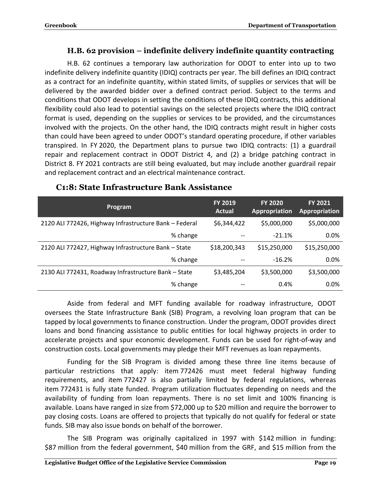#### **H.B. 62 provision – indefinite delivery indefinite quantity contracting**

<span id="page-21-0"></span>H.B. 62 continues a temporary law authorization for ODOT to enter into up to two indefinite delivery indefinite quantity (IDIQ) contracts per year. The bill defines an IDIQ contract as a contract for an indefinite quantity, within stated limits, of supplies or services that will be delivered by the awarded bidder over a defined contract period. Subject to the terms and conditions that ODOT develops in setting the conditions of these IDIQ contracts, this additional flexibility could also lead to potential savings on the selected projects where the IDIQ contract format is used, depending on the supplies or services to be provided, and the circumstances involved with the projects. On the other hand, the IDIQ contracts might result in higher costs than could have been agreed to under ODOT's standard operating procedure, if other variables transpired. In FY 2020, the Department plans to pursue two IDIQ contracts: (1) a guardrail repair and replacement contract in ODOT District 4, and (2) a bridge patching contract in District 8. FY 2021 contracts are still being evaluated, but may include another guardrail repair and replacement contract and an electrical maintenance contract.

| Program                                                | <b>FY 2019</b><br>Actual | <b>FY 2020</b><br>Appropriation | <b>FY 2021</b><br>Appropriation |
|--------------------------------------------------------|--------------------------|---------------------------------|---------------------------------|
| 2120 ALI 772426, Highway Infrastructure Bank - Federal | \$6,344,422              | \$5,000,000                     | \$5,000,000                     |
| % change                                               |                          | $-21.1%$                        | 0.0%                            |
| 2120 ALI 772427, Highway Infrastructure Bank - State   | \$18,200,343             | \$15,250,000                    | \$15,250,000                    |
| % change                                               |                          | $-16.2%$                        | 0.0%                            |
| 2130 ALI 772431, Roadway Infrastructure Bank - State   | \$3,485,204              | \$3,500,000                     | \$3,500,000                     |
| % change                                               | --                       | 0.4%                            | 0.0%                            |

#### <span id="page-21-1"></span>**C1:8: State Infrastructure Bank Assistance**

Aside from federal and MFT funding available for roadway infrastructure, ODOT oversees the State Infrastructure Bank (SIB) Program, a revolving loan program that can be tapped by local governments to finance construction. Under the program, ODOT provides direct loans and bond financing assistance to public entities for local highway projects in order to accelerate projects and spur economic development. Funds can be used for right-of-way and construction costs. Local governments may pledge their MFT revenues as loan repayments.

Funding for the SIB Program is divided among these three line items because of particular restrictions that apply: item 772426 must meet federal highway funding requirements, and item 772427 is also partially limited by federal regulations, whereas item 772431 is fully state funded. Program utilization fluctuates depending on needs and the availability of funding from loan repayments. There is no set limit and 100% financing is available. Loans have ranged in size from \$72,000 up to \$20 million and require the borrower to pay closing costs. Loans are offered to projects that typically do not qualify for federal or state funds. SIB may also issue bonds on behalf of the borrower.

The SIB Program was originally capitalized in 1997 with \$142 million in funding: \$87 million from the federal government, \$40 million from the GRF, and \$15 million from the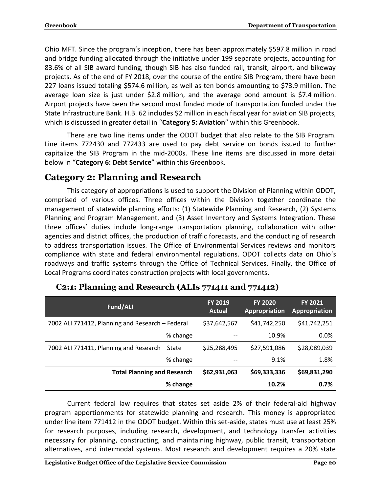Ohio MFT. Since the program's inception, there has been approximately \$597.8 million in road and bridge funding allocated through the initiative under 199 separate projects, accounting for 83.6% of all SIB award funding, though SIB has also funded rail, transit, airport, and bikeway projects. As of the end of FY 2018, over the course of the entire SIB Program, there have been 227 loans issued totaling \$574.6 million, as well as ten bonds amounting to \$73.9 million. The average loan size is just under \$2.8 million, and the average bond amount is \$7.4 million. Airport projects have been the second most funded mode of transportation funded under the State Infrastructure Bank. H.B. 62 includes \$2 million in each fiscal year for aviation SIB projects, which is discussed in greater detail in "**Category 5: Aviation**" within this Greenbook.

There are two line items under the ODOT budget that also relate to the SIB Program. Line items 772430 and 772433 are used to pay debt service on bonds issued to further capitalize the SIB Program in the mid-2000s. These line items are discussed in more detail below in "**Category 6: Debt Service**" within this Greenbook.

## <span id="page-22-0"></span>**Category 2: Planning and Research**

This category of appropriations is used to support the Division of Planning within ODOT, comprised of various offices. Three offices within the Division together coordinate the management of statewide planning efforts: (1) Statewide Planning and Research, (2) Systems Planning and Program Management, and (3) Asset Inventory and Systems Integration. These three offices' duties include long-range transportation planning, collaboration with other agencies and district offices, the production of traffic forecasts, and the conducting of research to address transportation issues. The Office of Environmental Services reviews and monitors compliance with state and federal environmental regulations. ODOT collects data on Ohio's roadways and traffic systems through the Office of Technical Services. Finally, the Office of Local Programs coordinates construction projects with local governments.

| Fund/ALI                                         | FY 2019<br><b>Actual</b> | <b>FY 2020</b><br>Appropriation | <b>FY 2021</b><br>Appropriation |
|--------------------------------------------------|--------------------------|---------------------------------|---------------------------------|
| 7002 ALI 771412, Planning and Research - Federal | \$37,642,567             | \$41,742,250                    | \$41,742,251                    |
| % change                                         |                          | 10.9%                           | 0.0%                            |
| 7002 ALI 771411, Planning and Research - State   | \$25,288,495             | \$27,591,086                    | \$28,089,039                    |
| % change                                         | --                       | 9.1%                            | 1.8%                            |
| <b>Total Planning and Research</b>               | \$62,931,063             | \$69,333,336                    | \$69,831,290                    |
| % change                                         |                          | 10.2%                           | 0.7%                            |

#### <span id="page-22-1"></span>**C2:1: Planning and Research (ALIs 771411 and 771412)**

Current federal law requires that states set aside 2% of their federal-aid highway program apportionments for statewide planning and research. This money is appropriated under line item 771412 in the ODOT budget. Within this set-aside, states must use at least 25% for research purposes, including research, development, and technology transfer activities necessary for planning, constructing, and maintaining highway, public transit, transportation alternatives, and intermodal systems. Most research and development requires a 20% state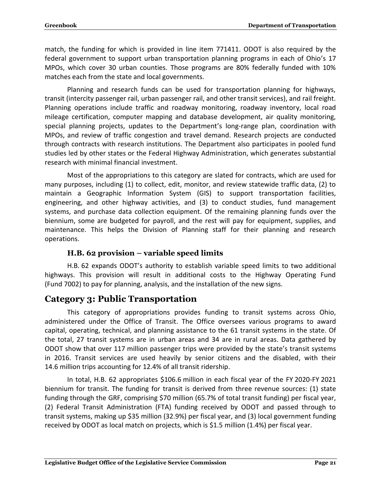match, the funding for which is provided in line item 771411. ODOT is also required by the federal government to support urban transportation planning programs in each of Ohio's 17 MPOs, which cover 30 urban counties. Those programs are 80% federally funded with 10% matches each from the state and local governments.

Planning and research funds can be used for transportation planning for highways, transit (intercity passenger rail, urban passenger rail, and other transit services), and rail freight. Planning operations include traffic and roadway monitoring, roadway inventory, local road mileage certification, computer mapping and database development, air quality monitoring, special planning projects, updates to the Department's long-range plan, coordination with MPOs, and review of traffic congestion and travel demand. Research projects are conducted through contracts with research institutions. The Department also participates in pooled fund studies led by other states or the Federal Highway Administration, which generates substantial research with minimal financial investment.

Most of the appropriations to this category are slated for contracts, which are used for many purposes, including (1) to collect, edit, monitor, and review statewide traffic data, (2) to maintain a Geographic Information System (GIS) to support transportation facilities, engineering, and other highway activities, and (3) to conduct studies, fund management systems, and purchase data collection equipment. Of the remaining planning funds over the biennium, some are budgeted for payroll, and the rest will pay for equipment, supplies, and maintenance. This helps the Division of Planning staff for their planning and research operations.

#### **H.B. 62 provision – variable speed limits**

<span id="page-23-0"></span>H.B. 62 expands ODOT's authority to establish variable speed limits to two additional highways. This provision will result in additional costs to the Highway Operating Fund (Fund 7002) to pay for planning, analysis, and the installation of the new signs.

#### <span id="page-23-1"></span>**Category 3: Public Transportation**

This category of appropriations provides funding to transit systems across Ohio, administered under the Office of Transit. The Office oversees various programs to award capital, operating, technical, and planning assistance to the 61 transit systems in the state. Of the total, 27 transit systems are in urban areas and 34 are in rural areas. Data gathered by ODOT show that over 117 million passenger trips were provided by the state's transit systems in 2016. Transit services are used heavily by senior citizens and the disabled, with their 14.6 million trips accounting for 12.4% of all transit ridership.

In total, H.B. 62 appropriates \$106.6 million in each fiscal year of the FY 2020-FY 2021 biennium for transit. The funding for transit is derived from three revenue sources: (1) state funding through the GRF, comprising \$70 million (65.7% of total transit funding) per fiscal year, (2) Federal Transit Administration (FTA) funding received by ODOT and passed through to transit systems, making up \$35 million (32.9%) per fiscal year, and (3) local government funding received by ODOT as local match on projects, which is \$1.5 million (1.4%) per fiscal year.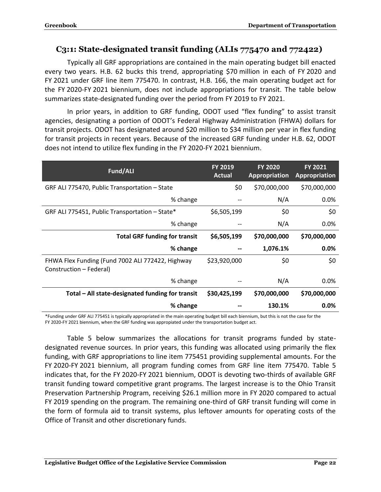#### <span id="page-24-0"></span>**C3:1: State-designated transit funding (ALIs 775470 and 772422)**

Typically all GRF appropriations are contained in the main operating budget bill enacted every two years. H.B. 62 bucks this trend, appropriating \$70 million in each of FY 2020 and FY 2021 under GRF line item 775470. In contrast, H.B. 166, the main operating budget act for the FY 2020-FY 2021 biennium, does not include appropriations for transit. The table below summarizes state-designated funding over the period from FY 2019 to FY 2021.

In prior years, in addition to GRF funding, ODOT used "flex funding" to assist transit agencies, designating a portion of ODOT's Federal Highway Administration (FHWA) dollars for transit projects. ODOT has designated around \$20 million to \$34 million per year in flex funding for transit projects in recent years. Because of the increased GRF funding under H.B. 62, ODOT does not intend to utilize flex funding in the FY 2020-FY 2021 biennium.

| Fund/ALI                                                                    | <b>FY 2019</b><br><b>Actual</b> | <b>FY 2020</b><br><b>Appropriation</b> | <b>FY 2021</b><br><b>Appropriation</b> |
|-----------------------------------------------------------------------------|---------------------------------|----------------------------------------|----------------------------------------|
| GRF ALI 775470, Public Transportation - State                               | \$0                             | \$70,000,000                           | \$70,000,000                           |
| % change                                                                    |                                 | N/A                                    | 0.0%                                   |
| GRF ALI 775451, Public Transportation - State*                              | \$6,505,199                     | \$0                                    | \$0                                    |
| % change                                                                    |                                 | N/A                                    | $0.0\%$                                |
| <b>Total GRF funding for transit</b>                                        | \$6,505,199                     | \$70,000,000                           | \$70,000,000                           |
| % change                                                                    |                                 | 1,076.1%                               | 0.0%                                   |
| FHWA Flex Funding (Fund 7002 ALI 772422, Highway<br>Construction – Federal) | \$23,920,000                    | \$0                                    | \$0                                    |
| % change                                                                    |                                 | N/A                                    | $0.0\%$                                |
| Total - All state-designated funding for transit                            | \$30,425,199                    | \$70,000,000                           | \$70,000,000                           |
| % change                                                                    |                                 | 130.1%                                 | 0.0%                                   |

\*Funding under GRF ALI 775451 is typically appropriated in the main operating budget bill each biennium, but this is not the case for the FY 2020-FY 2021 biennium, when the GRF funding was appropiated under the transportation budget act.

Table 5 below summarizes the allocations for transit programs funded by statedesignated revenue sources. In prior years, this funding was allocated using primarily the flex funding, with GRF appropriations to line item 775451 providing supplemental amounts. For the FY 2020-FY 2021 biennium, all program funding comes from GRF line item 775470. Table 5 indicates that, for the FY 2020-FY 2021 biennium, ODOT is devoting two-thirds of available GRF transit funding toward competitive grant programs. The largest increase is to the Ohio Transit Preservation Partnership Program, receiving \$26.1 million more in FY 2020 compared to actual FY 2019 spending on the program. The remaining one-third of GRF transit funding will come in the form of formula aid to transit systems, plus leftover amounts for operating costs of the Office of Transit and other discretionary funds.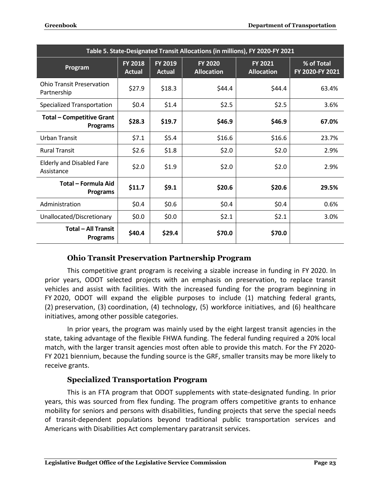| Table 5. State-Designated Transit Allocations (in millions), FY 2020-FY 2021 |                                 |                          |                                     |                                     |                               |
|------------------------------------------------------------------------------|---------------------------------|--------------------------|-------------------------------------|-------------------------------------|-------------------------------|
| Program                                                                      | <b>FY 2018</b><br><b>Actual</b> | FY 2019<br><b>Actual</b> | <b>FY 2020</b><br><b>Allocation</b> | <b>FY 2021</b><br><b>Allocation</b> | % of Total<br>FY 2020-FY 2021 |
| <b>Ohio Transit Preservation</b><br>Partnership                              | \$27.9                          | \$18.3                   | \$44.4                              | \$44.4                              | 63.4%                         |
| <b>Specialized Transportation</b>                                            | \$0.4\$                         | \$1.4                    | \$2.5                               | \$2.5                               | 3.6%                          |
| <b>Total - Competitive Grant</b><br><b>Programs</b>                          | \$28.3                          | \$19.7                   | \$46.9                              | \$46.9                              | 67.0%                         |
| Urban Transit                                                                | \$7.1                           | \$5.4                    | \$16.6                              | \$16.6                              | 23.7%                         |
| <b>Rural Transit</b>                                                         | \$2.6                           | \$1.8                    | \$2.0                               | \$2.0                               | 2.9%                          |
| <b>Elderly and Disabled Fare</b><br>Assistance                               | \$2.0                           | \$1.9                    | \$2.0                               | \$2.0                               | 2.9%                          |
| Total - Formula Aid<br><b>Programs</b>                                       | \$11.7                          | \$9.1                    | \$20.6                              | \$20.6                              | 29.5%                         |
| Administration                                                               | \$0.4\$                         | \$0.6                    | \$0.4                               | \$0.4\$                             | 0.6%                          |
| Unallocated/Discretionary                                                    | \$0.0\$                         | \$0.0\$                  | \$2.1                               | \$2.1                               | 3.0%                          |
| <b>Total - All Transit</b><br><b>Programs</b>                                | \$40.4                          | \$29.4                   | \$70.0                              | \$70.0                              |                               |

#### **Ohio Transit Preservation Partnership Program**

<span id="page-25-0"></span>This competitive grant program is receiving a sizable increase in funding in FY 2020. In prior years, ODOT selected projects with an emphasis on preservation, to replace transit vehicles and assist with facilities. With the increased funding for the program beginning in FY 2020, ODOT will expand the eligible purposes to include (1) matching federal grants, (2) preservation, (3) coordination, (4) technology, (5) workforce initiatives, and (6) healthcare initiatives, among other possible categories.

In prior years, the program was mainly used by the eight largest transit agencies in the state, taking advantage of the flexible FHWA funding. The federal funding required a 20% local match, with the larger transit agencies most often able to provide this match. For the FY 2020- FY 2021 biennium, because the funding source is the GRF, smaller transits may be more likely to receive grants.

#### **Specialized Transportation Program**

<span id="page-25-1"></span>This is an FTA program that ODOT supplements with state-designated funding. In prior years, this was sourced from flex funding. The program offers competitive grants to enhance mobility for seniors and persons with disabilities, funding projects that serve the special needs of transit-dependent populations beyond traditional public transportation services and Americans with Disabilities Act complementary paratransit services.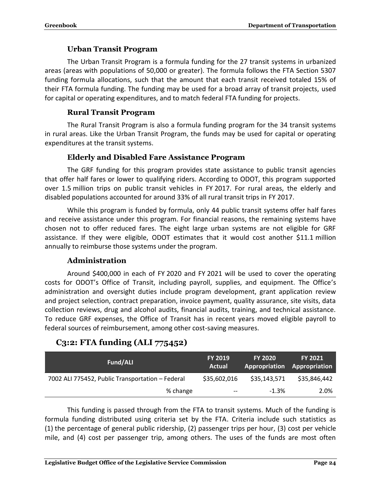#### **Urban Transit Program**

<span id="page-26-0"></span>The Urban Transit Program is a formula funding for the 27 transit systems in urbanized areas (areas with populations of 50,000 or greater). The formula follows the FTA Section 5307 funding formula allocations, such that the amount that each transit received totaled 15% of their FTA formula funding. The funding may be used for a broad array of transit projects, used for capital or operating expenditures, and to match federal FTA funding for projects.

#### **Rural Transit Program**

<span id="page-26-1"></span>The Rural Transit Program is also a formula funding program for the 34 transit systems in rural areas. Like the Urban Transit Program, the funds may be used for capital or operating expenditures at the transit systems.

#### **Elderly and Disabled Fare Assistance Program**

<span id="page-26-2"></span>The GRF funding for this program provides state assistance to public transit agencies that offer half fares or lower to qualifying riders. According to ODOT, this program supported over 1.5 million trips on public transit vehicles in FY 2017. For rural areas, the elderly and disabled populations accounted for around 33% of all rural transit trips in FY 2017.

While this program is funded by formula, only 44 public transit systems offer half fares and receive assistance under this program. For financial reasons, the remaining systems have chosen not to offer reduced fares. The eight large urban systems are not eligible for GRF assistance. If they were eligible, ODOT estimates that it would cost another \$11.1 million annually to reimburse those systems under the program.

#### **Administration**

<span id="page-26-3"></span>Around \$400,000 in each of FY 2020 and FY 2021 will be used to cover the operating costs for ODOT's Office of Transit, including payroll, supplies, and equipment. The Office's administration and oversight duties include program development, grant application review and project selection, contract preparation, invoice payment, quality assurance, site visits, data collection reviews, drug and alcohol audits, financial audits, training, and technical assistance. To reduce GRF expenses, the Office of Transit has in recent years moved eligible payroll to federal sources of reimbursement, among other cost-saving measures.

## <span id="page-26-4"></span>**C3:2: FTA funding (ALI 775452)**

| Fund/ALI                                         | <b>FY 2019</b><br>Actual | <b>FY 2020</b><br>Appropriation | <b>FY 2021</b><br>Appropriation |
|--------------------------------------------------|--------------------------|---------------------------------|---------------------------------|
| 7002 ALI 775452, Public Transportation - Federal | \$35,602,016             | \$35,143,571                    | \$35,846,442                    |
| % change                                         | $- -$                    | $-1.3%$                         | 2.0%                            |

This funding is passed through from the FTA to transit systems. Much of the funding is formula funding distributed using criteria set by the FTA. Criteria include such statistics as (1) the percentage of general public ridership, (2) passenger trips per hour, (3) cost per vehicle mile, and (4) cost per passenger trip, among others. The uses of the funds are most often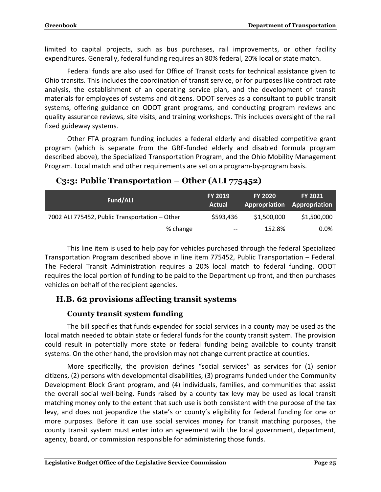limited to capital projects, such as bus purchases, rail improvements, or other facility expenditures. Generally, federal funding requires an 80% federal, 20% local or state match.

Federal funds are also used for Office of Transit costs for technical assistance given to Ohio transits. This includes the coordination of transit service, or for purposes like contract rate analysis, the establishment of an operating service plan, and the development of transit materials for employees of systems and citizens. ODOT serves as a consultant to public transit systems, offering guidance on ODOT grant programs, and conducting program reviews and quality assurance reviews, site visits, and training workshops. This includes oversight of the rail fixed guideway systems.

Other FTA program funding includes a federal elderly and disabled competitive grant program (which is separate from the GRF-funded elderly and disabled formula program described above), the Specialized Transportation Program, and the Ohio Mobility Management Program. Local match and other requirements are set on a program-by-program basis.

| Fund/ALI                                       | <b>FY 2019</b><br><b>Actual</b>     | <b>FY 2020</b> | <b>FY 2021</b><br>Appropriation Appropriation |
|------------------------------------------------|-------------------------------------|----------------|-----------------------------------------------|
| 7002 ALI 775452, Public Transportation - Other | \$593,436                           | \$1,500,000    | \$1,500,000                                   |
| % change                                       | $\hspace{0.04in}$ $\hspace{0.04in}$ | 152.8%         | $0.0\%$                                       |

#### <span id="page-27-0"></span>**C3:3: Public Transportation – Other (ALI 775452)**

This line item is used to help pay for vehicles purchased through the federal Specialized Transportation Program described above in line item 775452, Public Transportation – Federal. The Federal Transit Administration requires a 20% local match to federal funding. ODOT requires the local portion of funding to be paid to the Department up front, and then purchases vehicles on behalf of the recipient agencies.

#### <span id="page-27-2"></span><span id="page-27-1"></span>**H.B. 62 provisions affecting transit systems**

#### **County transit system funding**

The bill specifies that funds expended for social services in a county may be used as the local match needed to obtain state or federal funds for the county transit system. The provision could result in potentially more state or federal funding being available to county transit systems. On the other hand, the provision may not change current practice at counties.

More specifically, the provision defines "social services" as services for (1) senior citizens, (2) persons with developmental disabilities, (3) programs funded under the Community Development Block Grant program, and (4) individuals, families, and communities that assist the overall social well-being. Funds raised by a county tax levy may be used as local transit matching money only to the extent that such use is both consistent with the purpose of the tax levy, and does not jeopardize the state's or county's eligibility for federal funding for one or more purposes. Before it can use social services money for transit matching purposes, the county transit system must enter into an agreement with the local government, department, agency, board, or commission responsible for administering those funds.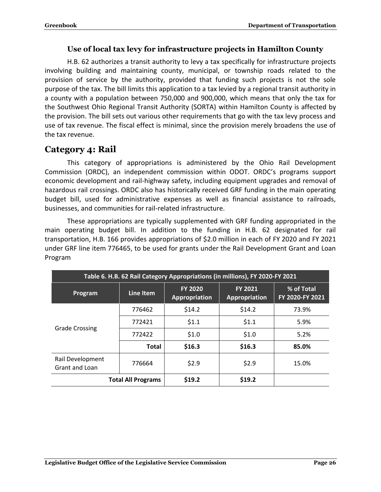#### **Use of local tax levy for infrastructure projects in Hamilton County**

<span id="page-28-0"></span>H.B. 62 authorizes a transit authority to levy a tax specifically for infrastructure projects involving building and maintaining county, municipal, or township roads related to the provision of service by the authority, provided that funding such projects is not the sole purpose of the tax. The bill limits this application to a tax levied by a regional transit authority in a county with a population between 750,000 and 900,000, which means that only the tax for the Southwest Ohio Regional Transit Authority (SORTA) within Hamilton County is affected by the provision. The bill sets out various other requirements that go with the tax levy process and use of tax revenue. The fiscal effect is minimal, since the provision merely broadens the use of the tax revenue.

## <span id="page-28-1"></span>**Category 4: Rail**

This category of appropriations is administered by the Ohio Rail Development Commission (ORDC), an independent commission within ODOT. ORDC's programs support economic development and rail-highway safety, including equipment upgrades and removal of hazardous rail crossings. ORDC also has historically received GRF funding in the main operating budget bill, used for administrative expenses as well as financial assistance to railroads, businesses, and communities for rail-related infrastructure.

These appropriations are typically supplemented with GRF funding appropriated in the main operating budget bill. In addition to the funding in H.B. 62 designated for rail transportation, H.B. 166 provides appropriations of \$2.0 million in each of FY 2020 and FY 2021 under GRF line item 776465, to be used for grants under the Rail Development Grant and Loan Program

| Table 6. H.B. 62 Rail Category Appropriations (in millions), FY 2020-FY 2021 |                           |                                        |                          |                               |  |  |
|------------------------------------------------------------------------------|---------------------------|----------------------------------------|--------------------------|-------------------------------|--|--|
| Program                                                                      | Line Item                 | <b>FY 2020</b><br><b>Appropriation</b> | FY 2021<br>Appropriation | % of Total<br>FY 2020-FY 2021 |  |  |
|                                                                              | 776462                    | \$14.2                                 | \$14.2                   | 73.9%                         |  |  |
| <b>Grade Crossing</b>                                                        | 772421                    | \$1.1                                  | \$1.1                    | 5.9%                          |  |  |
|                                                                              | 772422                    | \$1.0                                  | \$1.0                    | 5.2%                          |  |  |
|                                                                              | <b>Total</b>              | \$16.3                                 | \$16.3                   | 85.0%                         |  |  |
| Rail Development<br>Grant and Loan                                           | 776664                    | \$2.9                                  | \$2.9                    | 15.0%                         |  |  |
|                                                                              | <b>Total All Programs</b> | \$19.2                                 | \$19.2                   |                               |  |  |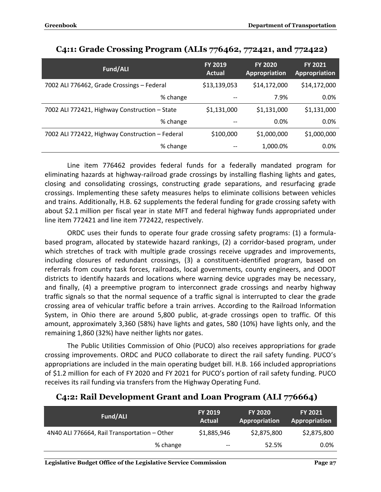| Fund/ALI                                        | <b>FY 2019</b><br>Actual | <b>FY 2020</b><br><b>Appropriation</b> | <b>FY 2021</b><br>Appropriation |
|-------------------------------------------------|--------------------------|----------------------------------------|---------------------------------|
| 7002 ALI 776462, Grade Crossings - Federal      | \$13,139,053             | \$14,172,000                           | \$14,172,000                    |
| % change                                        | --                       | 7.9%                                   | 0.0%                            |
| 7002 ALI 772421, Highway Construction - State   | \$1,131,000              | \$1,131,000                            | \$1,131,000                     |
| % change                                        | --                       | 0.0%                                   | 0.0%                            |
| 7002 ALI 772422, Highway Construction - Federal | \$100,000                | \$1,000,000                            | \$1,000,000                     |
| % change                                        |                          | 1,000.0%                               | 0.0%                            |

#### <span id="page-29-0"></span>**C4:1: Grade Crossing Program (ALIs 776462, 772421, and 772422)**

Line item 776462 provides federal funds for a federally mandated program for eliminating hazards at highway-railroad grade crossings by installing flashing lights and gates, closing and consolidating crossings, constructing grade separations, and resurfacing grade crossings. Implementing these safety measures helps to eliminate collisions between vehicles and trains. Additionally, H.B. 62 supplements the federal funding for grade crossing safety with about \$2.1 million per fiscal year in state MFT and federal highway funds appropriated under line item 772421 and line item 772422, respectively.

ORDC uses their funds to operate four grade crossing safety programs: (1) a formulabased program, allocated by statewide hazard rankings, (2) a corridor-based program, under which stretches of track with multiple grade crossings receive upgrades and improvements, including closures of redundant crossings, (3) a constituent-identified program, based on referrals from county task forces, railroads, local governments, county engineers, and ODOT districts to identify hazards and locations where warning device upgrades may be necessary, and finally, (4) a preemptive program to interconnect grade crossings and nearby highway traffic signals so that the normal sequence of a traffic signal is interrupted to clear the grade crossing area of vehicular traffic before a train arrives. According to the Railroad Information System, in Ohio there are around 5,800 public, at-grade crossings open to traffic. Of this amount, approximately 3,360 (58%) have lights and gates, 580 (10%) have lights only, and the remaining 1,860 (32%) have neither lights nor gates.

The Public Utilities Commission of Ohio (PUCO) also receives appropriations for grade crossing improvements. ORDC and PUCO collaborate to direct the rail safety funding. PUCO's appropriations are included in the main operating budget bill. H.B. 166 included appropriations of \$1.2 million for each of FY 2020 and FY 2021 for PUCO's portion of rail safety funding. PUCO receives its rail funding via transfers from the Highway Operating Fund.

| Fund/ALI                                     | <b>FY 2019</b><br>Actual | <b>FY 2020</b><br><b>Appropriation</b> | <b>FY 2021</b><br><b>Appropriation</b> |
|----------------------------------------------|--------------------------|----------------------------------------|----------------------------------------|
| 4N40 ALI 776664, Rail Transportation - Other | \$1,885,946              | \$2,875,800                            | \$2,875,800                            |
| % change                                     | $- -$                    | 52.5%                                  | $0.0\%$                                |

#### <span id="page-29-1"></span>**C4:2: Rail Development Grant and Loan Program (ALI 776664)**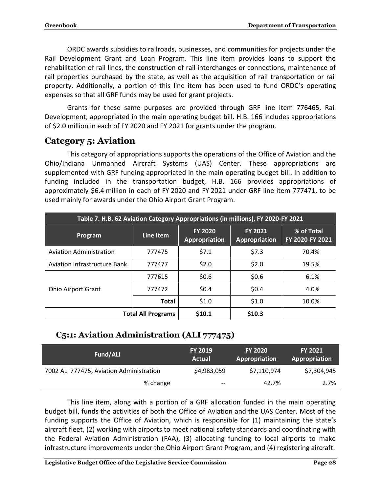ORDC awards subsidies to railroads, businesses, and communities for projects under the Rail Development Grant and Loan Program. This line item provides loans to support the rehabilitation of rail lines, the construction of rail interchanges or connections, maintenance of rail properties purchased by the state, as well as the acquisition of rail transportation or rail property. Additionally, a portion of this line item has been used to fund ORDC's operating expenses so that all GRF funds may be used for grant projects.

Grants for these same purposes are provided through GRF line item 776465, Rail Development, appropriated in the main operating budget bill. H.B. 166 includes appropriations of \$2.0 million in each of FY 2020 and FY 2021 for grants under the program.

## <span id="page-30-0"></span>**Category 5: Aviation**

This category of appropriations supports the operations of the Office of Aviation and the Ohio/Indiana Unmanned Aircraft Systems (UAS) Center. These appropriations are supplemented with GRF funding appropriated in the main operating budget bill. In addition to funding included in the transportation budget, H.B. 166 provides appropriations of approximately \$6.4 million in each of FY 2020 and FY 2021 under GRF line item 777471, to be used mainly for awards under the Ohio Airport Grant Program.

| Table 7. H.B. 62 Aviation Category Appropriations (in millions), FY 2020-FY 2021 |                           |                                        |                                 |                               |  |
|----------------------------------------------------------------------------------|---------------------------|----------------------------------------|---------------------------------|-------------------------------|--|
| Program                                                                          | Line Item                 | <b>FY 2020</b><br><b>Appropriation</b> | <b>FY 2021</b><br>Appropriation | % of Total<br>FY 2020-FY 2021 |  |
| <b>Aviation Administration</b>                                                   | 777475                    | \$7.1                                  | \$7.3                           | 70.4%                         |  |
| Aviation Infrastructure Bank                                                     | 777477                    | \$2.0                                  | \$2.0                           | 19.5%                         |  |
|                                                                                  | 777615                    | \$0.6                                  | \$0.6                           | 6.1%                          |  |
| <b>Ohio Airport Grant</b>                                                        | 777472                    | \$0.4\$                                | \$0.4                           | 4.0%                          |  |
|                                                                                  | <b>Total</b>              | \$1.0                                  | \$1.0                           | 10.0%                         |  |
|                                                                                  | <b>Total All Programs</b> | \$10.1                                 | \$10.3                          |                               |  |

### <span id="page-30-1"></span>**C5:1: Aviation Administration (ALI 777475)**

| Fund/ALI                                 | <b>FY 2019</b><br>Actual      | <b>FY 2020</b><br>Appropriation | <b>FY 2021</b><br>Appropriation |
|------------------------------------------|-------------------------------|---------------------------------|---------------------------------|
| 7002 ALI 777475, Aviation Administration | \$4,983,059                   | \$7,110,974                     | \$7,304,945                     |
| % change                                 | $\hspace{0.05cm} \textbf{--}$ | 42.7%                           | 2.7%                            |

This line item, along with a portion of a GRF allocation funded in the main operating budget bill, funds the activities of both the Office of Aviation and the UAS Center. Most of the funding supports the Office of Aviation, which is responsible for (1) maintaining the state's aircraft fleet, (2) working with airports to meet national safety standards and coordinating with the Federal Aviation Administration (FAA), (3) allocating funding to local airports to make infrastructure improvements under the Ohio Airport Grant Program, and (4) registering aircraft.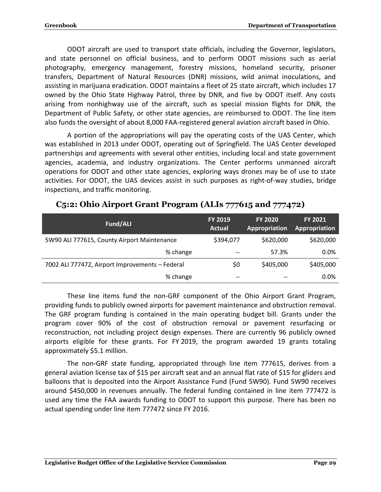ODOT aircraft are used to transport state officials, including the Governor, legislators, and state personnel on official business, and to perform ODOT missions such as aerial photography, emergency management, forestry missions, homeland security, prisoner transfers, Department of Natural Resources (DNR) missions, wild animal inoculations, and assisting in marijuana eradication. ODOT maintains a fleet of 25 state aircraft, which includes 17 owned by the Ohio State Highway Patrol, three by DNR, and five by ODOT itself. Any costs arising from nonhighway use of the aircraft, such as special mission flights for DNR, the Department of Public Safety, or other state agencies, are reimbursed to ODOT. The line item also funds the oversight of about 8,000 FAA-registered general aviation aircraft based in Ohio.

A portion of the appropriations will pay the operating costs of the UAS Center, which was established in 2013 under ODOT, operating out of Springfield. The UAS Center developed partnerships and agreements with several other entities, including local and state government agencies, academia, and industry organizations. The Center performs unmanned aircraft operations for ODOT and other state agencies, exploring ways drones may be of use to state activities. For ODOT, the UAS devices assist in such purposes as right-of-way studies, bridge inspections, and traffic monitoring.

| Fund/ALI                                        | FY 2019<br><b>Actual</b> | <b>FY 2020</b><br>Appropriation | <b>FY 2021</b><br>Appropriation |
|-------------------------------------------------|--------------------------|---------------------------------|---------------------------------|
| 5W90 ALI 777615, County Airport Maintenance     | \$394,077                | \$620,000                       | \$620,000                       |
| % change                                        | $- -$                    | 57.3%                           | $0.0\%$                         |
| 7002 ALI 777472, Airport Improvements - Federal | \$0                      | \$405,000                       | \$405,000                       |
| % change                                        | $- -$                    | --                              | 0.0%                            |

#### <span id="page-31-0"></span>**C5:2: Ohio Airport Grant Program (ALIs 777615 and 777472)**

These line items fund the non-GRF component of the Ohio Airport Grant Program, providing funds to publicly owned airports for pavement maintenance and obstruction removal. The GRF program funding is contained in the main operating budget bill. Grants under the program cover 90% of the cost of obstruction removal or pavement resurfacing or reconstruction, not including project design expenses. There are currently 96 publicly owned airports eligible for these grants. For FY 2019, the program awarded 19 grants totaling approximately \$5.1 million.

The non-GRF state funding, appropriated through line item 777615, derives from a general aviation license tax of \$15 per aircraft seat and an annual flat rate of \$15 for gliders and balloons that is deposited into the Airport Assistance Fund (Fund 5W90). Fund 5W90 receives around \$450,000 in revenues annually. The federal funding contained in line item 777472 is used any time the FAA awards funding to ODOT to support this purpose. There has been no actual spending under line item 777472 since FY 2016.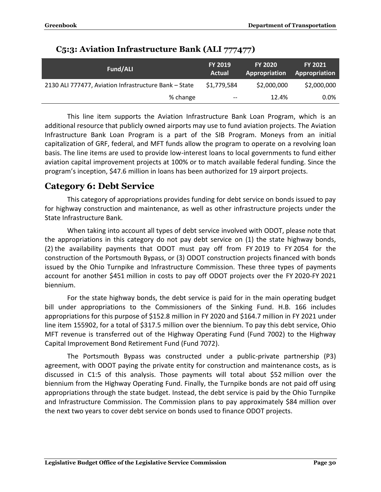| <b>Fund/ALI</b>                                       | <b>FY 2019</b><br>Actual | <b>FY 2020</b><br>Appropriation | <b>FY 2021</b><br>Appropriation |
|-------------------------------------------------------|--------------------------|---------------------------------|---------------------------------|
| 2130 ALI 777477, Aviation Infrastructure Bank - State | \$1,779,584              | \$2,000,000                     | \$2,000,000                     |
| % change                                              | $\qquad \qquad -$        | 12.4%                           | $0.0\%$                         |

#### <span id="page-32-0"></span>**C5:3: Aviation Infrastructure Bank (ALI 777477)**

This line item supports the Aviation Infrastructure Bank Loan Program, which is an additional resource that publicly owned airports may use to fund aviation projects. The Aviation Infrastructure Bank Loan Program is a part of the SIB Program. Moneys from an initial capitalization of GRF, federal, and MFT funds allow the program to operate on a revolving loan basis. The line items are used to provide low-interest loans to local governments to fund either aviation capital improvement projects at 100% or to match available federal funding. Since the program's inception, \$47.6 million in loans has been authorized for 19 airport projects.

#### <span id="page-32-1"></span>**Category 6: Debt Service**

This category of appropriations provides funding for debt service on bonds issued to pay for highway construction and maintenance, as well as other infrastructure projects under the State Infrastructure Bank.

When taking into account all types of debt service involved with ODOT, please note that the appropriations in this category do not pay debt service on (1) the state highway bonds, (2) the availability payments that ODOT must pay off from FY 2019 to FY 2054 for the construction of the Portsmouth Bypass, or (3) ODOT construction projects financed with bonds issued by the Ohio Turnpike and Infrastructure Commission. These three types of payments account for another \$451 million in costs to pay off ODOT projects over the FY 2020-FY 2021 biennium.

For the state highway bonds, the debt service is paid for in the main operating budget bill under appropriations to the Commissioners of the Sinking Fund. H.B. 166 includes appropriations for this purpose of \$152.8 million in FY 2020 and \$164.7 million in FY 2021 under line item 155902, for a total of \$317.5 million over the biennium. To pay this debt service, Ohio MFT revenue is transferred out of the Highway Operating Fund (Fund 7002) to the Highway Capital Improvement Bond Retirement Fund (Fund 7072).

The Portsmouth Bypass was constructed under a public-private partnership (P3) agreement, with ODOT paying the private entity for construction and maintenance costs, as is discussed in C1:5 of this analysis. Those payments will total about \$52 million over the biennium from the Highway Operating Fund. Finally, the Turnpike bonds are not paid off using appropriations through the state budget. Instead, the debt service is paid by the Ohio Turnpike and Infrastructure Commission. The Commission plans to pay approximately \$84 million over the next two years to cover debt service on bonds used to finance ODOT projects.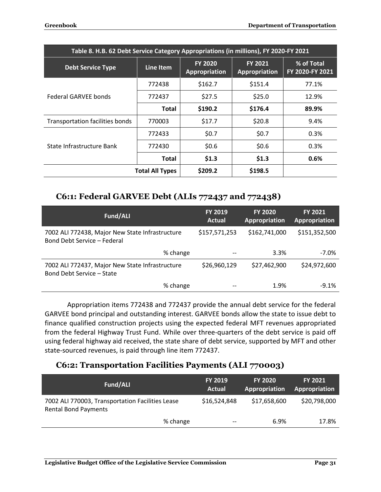| Table 8. H.B. 62 Debt Service Category Appropriations (in millions), FY 2020-FY 2021 |                        |                                        |                                 |                               |
|--------------------------------------------------------------------------------------|------------------------|----------------------------------------|---------------------------------|-------------------------------|
| <b>Debt Service Type</b>                                                             | Line Item              | <b>FY 2020</b><br><b>Appropriation</b> | <b>FY 2021</b><br>Appropriation | % of Total<br>FY 2020-FY 2021 |
|                                                                                      | 772438                 | \$162.7                                | \$151.4                         | 77.1%                         |
| Federal GARVEE bonds                                                                 | 772437                 | \$27.5                                 | \$25.0                          | 12.9%                         |
|                                                                                      | Total                  | \$190.2                                | \$176.4                         | 89.9%                         |
| <b>Transportation facilities bonds</b>                                               | 770003                 | \$17.7                                 | \$20.8                          | 9.4%                          |
|                                                                                      | 772433                 | \$0.7                                  | \$0.7                           | 0.3%                          |
| State Infrastructure Bank                                                            | 772430                 | \$0.6                                  | \$0.6                           | 0.3%                          |
|                                                                                      | Total                  | \$1.3                                  | \$1.3                           | 0.6%                          |
|                                                                                      | <b>Total All Types</b> | \$209.2                                | \$198.5                         |                               |

#### <span id="page-33-0"></span>**C6:1: Federal GARVEE Debt (ALIs 772437 and 772438)**

| Fund/ALI                                                                       | <b>FY 2019</b><br><b>Actual</b> | <b>FY 2020</b><br>Appropriation | <b>FY 2021</b><br>Appropriation |
|--------------------------------------------------------------------------------|---------------------------------|---------------------------------|---------------------------------|
| 7002 ALI 772438, Major New State Infrastructure<br>Bond Debt Service - Federal | \$157,571,253                   | \$162,741,000                   | \$151,352,500                   |
| % change                                                                       | $- -$                           | 3.3%                            | $-7.0\%$                        |
| 7002 ALI 772437, Major New State Infrastructure<br>Bond Debt Service - State   | \$26,960,129                    | \$27,462,900                    | \$24,972,600                    |
| % change                                                                       |                                 | 1.9%                            | $-9.1%$                         |

Appropriation items 772438 and 772437 provide the annual debt service for the federal GARVEE bond principal and outstanding interest. GARVEE bonds allow the state to issue debt to finance qualified construction projects using the expected federal MFT revenues appropriated from the federal Highway Trust Fund. While over three-quarters of the debt service is paid off using federal highway aid received, the state share of debt service, supported by MFT and other state-sourced revenues, is paid through line item 772437.

#### <span id="page-33-1"></span>**C6:2: Transportation Facilities Payments (ALI 770003)**

| Fund/ALI                                                                        | <b>FY 2019</b><br><b>Actual</b> | <b>FY 2020</b><br>Appropriation | <b>FY 2021</b><br>Appropriation |
|---------------------------------------------------------------------------------|---------------------------------|---------------------------------|---------------------------------|
| 7002 ALI 770003, Transportation Facilities Lease<br><b>Rental Bond Payments</b> | \$16,524,848                    | \$17,658,600                    | \$20,798,000                    |
| % change                                                                        | $- -$                           | 6.9%                            | 17.8%                           |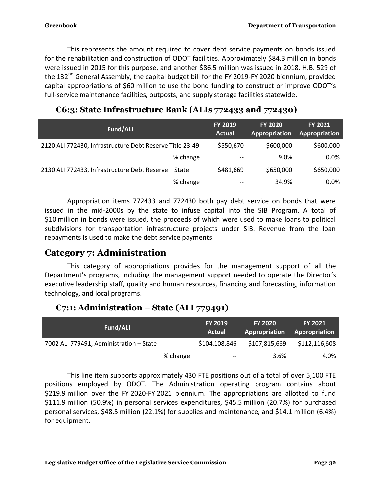This represents the amount required to cover debt service payments on bonds issued for the rehabilitation and construction of ODOT facilities. Approximately \$84.3 million in bonds were issued in 2015 for this purpose, and another \$86.5 million was issued in 2018. H.B. 529 of the 132<sup>nd</sup> General Assembly, the capital budget bill for the FY 2019-FY 2020 biennium, provided capital appropriations of \$60 million to use the bond funding to construct or improve ODOT's full-service maintenance facilities, outposts, and supply storage facilities statewide.

| <b>Fund/ALI</b>                                          | <b>FY 2019</b><br><b>Actual</b> | <b>FY 2020</b><br>Appropriation | <b>FY 2021</b><br>Appropriation |
|----------------------------------------------------------|---------------------------------|---------------------------------|---------------------------------|
| 2120 ALI 772430, Infrastructure Debt Reserve Title 23-49 | \$550,670                       | \$600,000                       | \$600,000                       |
| % change                                                 | $- -$                           | 9.0%                            | 0.0%                            |
| 2130 ALI 772433, Infrastructure Debt Reserve - State     | \$481,669                       | \$650,000                       | \$650,000                       |
| % change                                                 | --                              | 34.9%                           | 0.0%                            |

#### <span id="page-34-0"></span>**C6:3: State Infrastructure Bank (ALIs 772433 and 772430)**

Appropriation items 772433 and 772430 both pay debt service on bonds that were issued in the mid-2000s by the state to infuse capital into the SIB Program. A total of \$10 million in bonds were issued, the proceeds of which were used to make loans to political subdivisions for transportation infrastructure projects under SIB. Revenue from the loan repayments is used to make the debt service payments.

#### <span id="page-34-1"></span>**Category 7: Administration**

This category of appropriations provides for the management support of all the Department's programs, including the management support needed to operate the Director's executive leadership staff, quality and human resources, financing and forecasting, information technology, and local programs.

#### <span id="page-34-2"></span>**C7:1: Administration – State (ALI 779491)**

| Fund/ALI                                |          | <b>FY 2019</b><br>Actual      | <b>FY 2020</b><br>Appropriation | <b>FY 2021</b><br>Appropriation |
|-----------------------------------------|----------|-------------------------------|---------------------------------|---------------------------------|
| 7002 ALI 779491, Administration - State |          | \$104,108,846                 | \$107,815,669                   | \$112,116,608                   |
|                                         | % change | $\hspace{0.05cm} \textbf{--}$ | 3.6%                            | 4.0%                            |

This line item supports approximately 430 FTE positions out of a total of over 5,100 FTE positions employed by ODOT. The Administration operating program contains about \$219.9 million over the FY 2020-FY 2021 biennium. The appropriations are allotted to fund \$111.9 million (50.9%) in personal services expenditures, \$45.5 million (20.7%) for purchased personal services, \$48.5 million (22.1%) for supplies and maintenance, and \$14.1 million (6.4%) for equipment.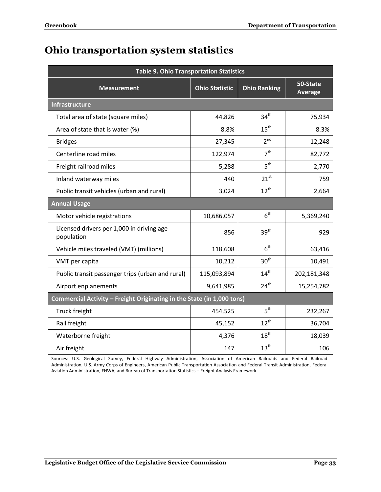## <span id="page-35-0"></span>**Ohio transportation system statistics**

| <b>Table 9. Ohio Transportation Statistics</b>                         |                       |                     |                            |  |
|------------------------------------------------------------------------|-----------------------|---------------------|----------------------------|--|
| <b>Measurement</b>                                                     | <b>Ohio Statistic</b> | <b>Ohio Ranking</b> | 50-State<br><b>Average</b> |  |
| <b>Infrastructure</b>                                                  |                       |                     |                            |  |
| Total area of state (square miles)                                     | 44,826                | 34 <sup>th</sup>    | 75,934                     |  |
| Area of state that is water (%)                                        | 8.8%                  | $15^{\text{th}}$    | 8.3%                       |  |
| <b>Bridges</b>                                                         | 27,345                | 2 <sup>nd</sup>     | 12,248                     |  |
| Centerline road miles                                                  | 122,974               | 7 <sup>th</sup>     | 82,772                     |  |
| Freight railroad miles                                                 | 5,288                 | 5 <sup>th</sup>     | 2,770                      |  |
| Inland waterway miles                                                  | 440                   | $21^{st}$           | 759                        |  |
| Public transit vehicles (urban and rural)                              | 3,024                 | $12^{th}$           | 2,664                      |  |
| <b>Annual Usage</b>                                                    |                       |                     |                            |  |
| Motor vehicle registrations                                            | 10,686,057            | 6 <sup>th</sup>     | 5,369,240                  |  |
| Licensed drivers per 1,000 in driving age<br>population                | 856                   | 39 <sup>th</sup>    | 929                        |  |
| Vehicle miles traveled (VMT) (millions)                                | 118,608               | 6 <sup>th</sup>     | 63,416                     |  |
| VMT per capita                                                         | 10,212                | 30 <sup>th</sup>    | 10,491                     |  |
| Public transit passenger trips (urban and rural)                       | 115,093,894           | $14^{th}$           | 202,181,348                |  |
| Airport enplanements                                                   | 9,641,985             | 24 <sup>th</sup>    | 15,254,782                 |  |
| Commercial Activity - Freight Originating in the State (in 1,000 tons) |                       |                     |                            |  |
| Truck freight                                                          | 454,525               | 5 <sup>th</sup>     | 232,267                    |  |
| Rail freight                                                           | 45,152                | $12^{th}$           | 36,704                     |  |
| Waterborne freight                                                     | 4,376                 | $18^{\text{th}}$    | 18,039                     |  |
| Air freight                                                            | 147                   | 13 <sup>th</sup>    | 106                        |  |

Sources: U.S. Geological Survey, Federal Highway Administration, Association of American Railroads and Federal Railroad Administration, U.S. Army Corps of Engineers, American Public Transportation Association and Federal Transit Administration, Federal Aviation Administration, FHWA, and Bureau of Transportation Statistics – Freight Analysis Framework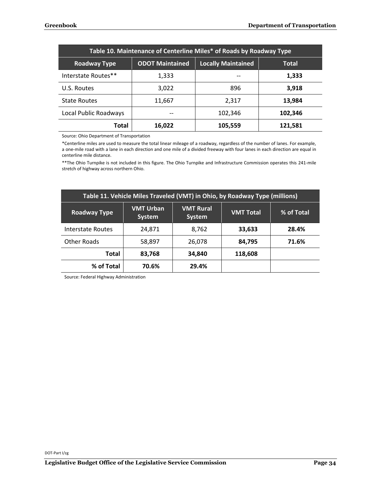| Table 10. Maintenance of Centerline Miles* of Roads by Roadway Type |                        |                           |              |  |  |  |
|---------------------------------------------------------------------|------------------------|---------------------------|--------------|--|--|--|
| <b>Roadway Type</b>                                                 | <b>ODOT Maintained</b> | <b>Locally Maintained</b> | <b>Total</b> |  |  |  |
| Interstate Routes**                                                 | 1,333                  |                           | 1,333        |  |  |  |
| U.S. Routes                                                         | 3,022                  | 896                       | 3,918        |  |  |  |
| <b>State Routes</b>                                                 | 11,667                 | 2,317                     | 13,984       |  |  |  |
| Local Public Roadways                                               |                        | 102,346                   | 102,346      |  |  |  |
| <b>Total</b>                                                        | 16,022                 | 105,559                   | 121,581      |  |  |  |

Source: Ohio Department of Transportation

\*Centerline miles are used to measure the total linear mileage of a roadway, regardless of the number of lanes. For example, a one-mile road with a lane in each direction and one mile of a divided freeway with four lanes in each direction are equal in centerline mile distance.

\*\*The Ohio Turnpike is not included in this figure. The Ohio Turnpike and Infrastructure Commission operates this 241-mile stretch of highway across northern Ohio.

| Table 11. Vehicle Miles Traveled (VMT) in Ohio, by Roadway Type (millions) |                                   |                            |                  |                   |  |  |  |
|----------------------------------------------------------------------------|-----------------------------------|----------------------------|------------------|-------------------|--|--|--|
| <b>Roadway Type</b>                                                        | <b>VMT Urban</b><br><b>System</b> | <b>VMT Rural</b><br>System | <b>VMT Total</b> | <b>% of Total</b> |  |  |  |
| Interstate Routes                                                          | 24,871                            | 8,762                      | 33,633           | 28.4%             |  |  |  |
| Other Roads                                                                | 58,897                            | 26,078                     | 84,795           | 71.6%             |  |  |  |
| Total                                                                      | 83,768                            | 34,840                     | 118,608          |                   |  |  |  |
| % of Total                                                                 | 70.6%                             | 29.4%                      |                  |                   |  |  |  |

Source: Federal Highway Administration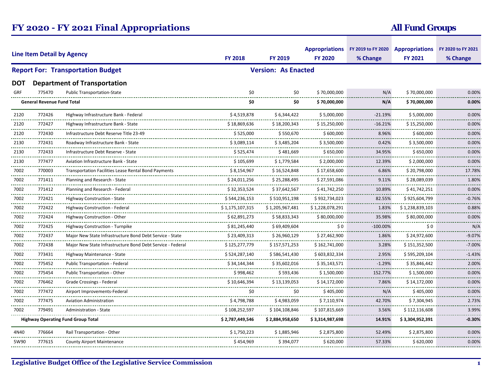## **FY 2020 - FY 2021 Final Appropriations**

## **All Fund Groups**

| <b>Line Item Detail by Agency</b> |                                   |                                                             |                 |                            | Appropriations FY 2019 to FY 2020 Appropriations FY 2020 to FY 2021 |                             |                    |               |
|-----------------------------------|-----------------------------------|-------------------------------------------------------------|-----------------|----------------------------|---------------------------------------------------------------------|-----------------------------|--------------------|---------------|
|                                   |                                   |                                                             | <b>FY 2018</b>  | FY 2019                    | <b>FY 2020</b>                                                      | % Change                    | <b>FY 2021</b>     | % Change      |
|                                   |                                   | <b>Report For: Transportation Budget</b>                    |                 | <b>Version: As Enacted</b> |                                                                     |                             |                    |               |
| DOT                               |                                   | <b>Department of Transportation</b>                         |                 |                            |                                                                     |                             |                    |               |
| GRF                               | 775470                            | <b>Public Transportation-State</b>                          | \$0             | \$0                        | \$70,000,000                                                        | N/A                         | \$70,000,000       | 0.00%         |
|                                   | <b>General Revenue Fund Total</b> |                                                             | \$0             | \$0                        | \$70,000,000                                                        | $N/\Lambda$                 | \$70,000,000       | 0.00%         |
| 2120                              | 772426                            | Highway Infrastructure Bank - Federal                       | \$4,519,878     | \$6,344,422                | \$5,000,000                                                         | $-21.19%$                   | \$5,000,000        | 0.00%         |
| 2120                              | 772427<br>.                       | Highway Infrastructure Bank - State                         | \$18,869,636    | \$18,200,343               | \$15,250,000                                                        | $-16.21%$                   | \$15,250,000       | 0.00%<br>.    |
| <br>2120                          | 772430                            | Infrastructure Debt Reserve Title 23-49                     | \$525,000       | \$550,670                  | \$600,000                                                           | 8.96%                       | \$600,000          | 0.00%         |
| 2130                              | 772431                            | Roadway Infrastructure Bank - State                         | \$3,089,114     | \$3,485,204                | \$3,500,000                                                         | 0.42%<br>------             | \$3,500,000        | 0.00%<br>.    |
| <br>2130<br>                      | 772433<br>                        | Infrastructure Debt Reserve - State                         | \$525,474       | \$481,669                  | \$650,000                                                           | 34.95%<br><u>--------</u> - | \$650,000          | 0.00%<br>.    |
| 2130                              | 777477                            | Aviation Infrastructure Bank - State                        | \$105,699       | \$1,779,584                | \$2,000,000                                                         | 12.39%                      | \$2,000,000        | 0.00%         |
| 7002                              | 770003                            | <b>Transportation Facilities Lease Rental Bond Payments</b> | \$8,154,967     | \$16,524,848               | \$17,658,600                                                        | 6.86%                       | \$20,798,000       | 17.78%        |
| <br>7002                          | 771411                            | Planning and Research - State                               | \$24.011.256    | \$25,288,495               | \$27,591,086                                                        | 9.11%                       | \$28.089.039       | .<br>1.80%    |
| 7002                              | 771412                            | Planning and Research - Federal                             | \$32,353,524    | \$37,642,567               | \$41,742,250                                                        | <br>10.89%                  | \$41,742,251       | 0.00%         |
| .<br>7002                         | .<br>772421                       | Highway Construction - State                                | \$544,236,153   | \$510,951,198              | \$932,734,023                                                       | <u>.</u><br>82.55%          | \$925,604,799      | .<br>$-0.76%$ |
| .<br>7002                         | 772422                            | Highway Construction - Federal                              | \$1,175,107,315 | \$1,205,967,481            | \$1,228,078,291                                                     | 1.83%                       | \$1,238,839,103    | 0.88%         |
| <br>7002                          | 772424                            | Highway Construction - Other                                | \$62,891,273    | \$58,833,343               | \$80,000,000                                                        | 35.98%                      | \$80.000.000       | 0.00%         |
| <br>7002                          | .<br>772425                       | Highway Construction - Turnpike                             | \$81.245.440    | \$69,409,604               | \$0                                                                 | <br>$-100.00\%$             | \$0                | N/A           |
| 7002                              | 772437                            | Maior New State Infrastructure Bond Debt Service - State    | \$23,409,313    | \$26,960,129               | \$27,462,900                                                        | 1.86%                       | \$24,972,600       | $-9.07%$      |
| <br>7002                          | 772438                            | Major New State Infrastructure Bond Debt Service - Federal  | \$125,277,779   | \$157,571,253              | \$162,741,000                                                       | 3.28%                       | \$151,352,500      | $-7.00%$      |
| <br>7002                          | .<br>773431                       | Highway Maintenance - State                                 | \$524,287,140   | \$586,541,430              | .<br>\$603,832,334                                                  | .<br>2.95%                  | .<br>\$595,209,104 | .<br>$-1.43%$ |
| 7002                              | 775452                            | <b>Public Transportation - Federal</b>                      | \$34,144,344    | \$35,602,016               | \$35,143,571                                                        | $-1.29%$                    | \$35,846,442       | 2.00%         |
| <br>7002                          | 775454                            | Public Transportation - Other                               | \$998,462       | \$593,436                  | \$1,500,000                                                         | 152.77%                     | \$1,500,000        | .<br>0.00%    |
| <br>7002                          | 776462                            | Grade Crossings - Federa                                    | \$10,646,394    | \$13,139,053               | \$14,172,000                                                        | 7.86%                       | \$14,172,000       | 0.00%         |
| <br>7002                          | .<br>777472                       | Airport Improvements-Federal                                | \$0             | \$0                        | \$405,000                                                           | N/A                         | \$405,000          | .<br>0.00%    |
| .<br>7002                         | 777475                            | <b>Aviation Administration</b>                              | \$4,798,788     | \$4,983,059                | \$7,110,974                                                         | 42.70%                      | \$7,304,945        | 2.73%         |
| 7002                              | 779491                            | Administration - State                                      | \$108,252,597   | \$104,108,846              | \$107,815,669                                                       | 3.56%                       | \$112,116,608      | 3.99%         |
|                                   |                                   | <b>Highway Operating Fund Group Total</b>                   | \$2,787,449,546 | \$2,884,958,650            | \$3,314,987,698                                                     | 14.91%                      | \$3,304,952,391    | $-0.30%$      |
| 4N40                              | 776664                            | Rail Transportation - Other                                 | \$1,750,223     | \$1,885,946                | \$2,875,800                                                         | 52.49%                      | \$2,875,800        | 0.00%         |
| 5W90                              | 777615                            | <b>County Airport Maintenance</b>                           | \$454,969       | \$394,077                  | \$620,000                                                           | 57.33%                      | \$620,000          | 0.00%         |